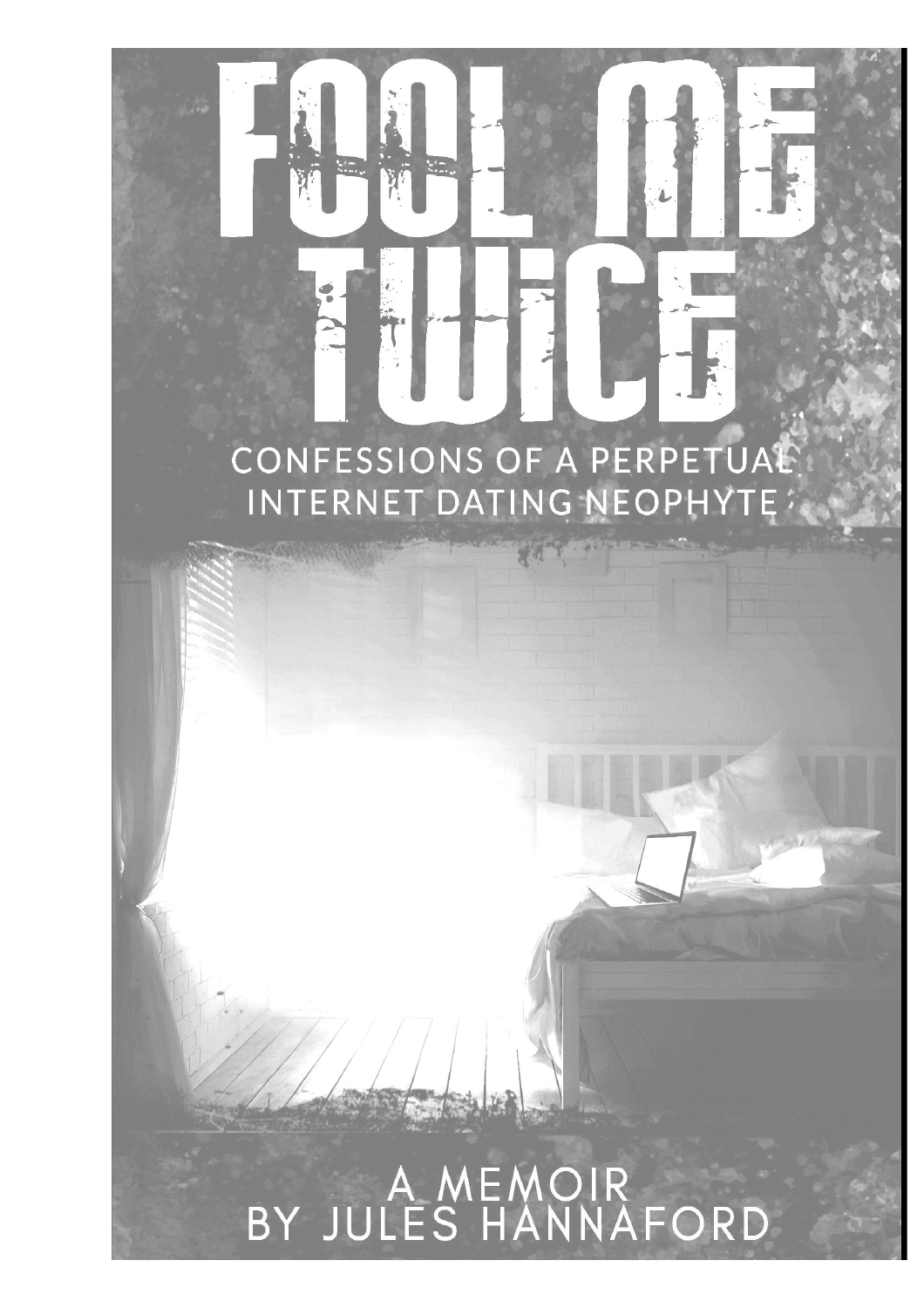## CONFESSIONS OF A PERPETUAL INTERNET DATING NEOPHYTE:

# A MEMOIR<br>BY JULES HANNAFORD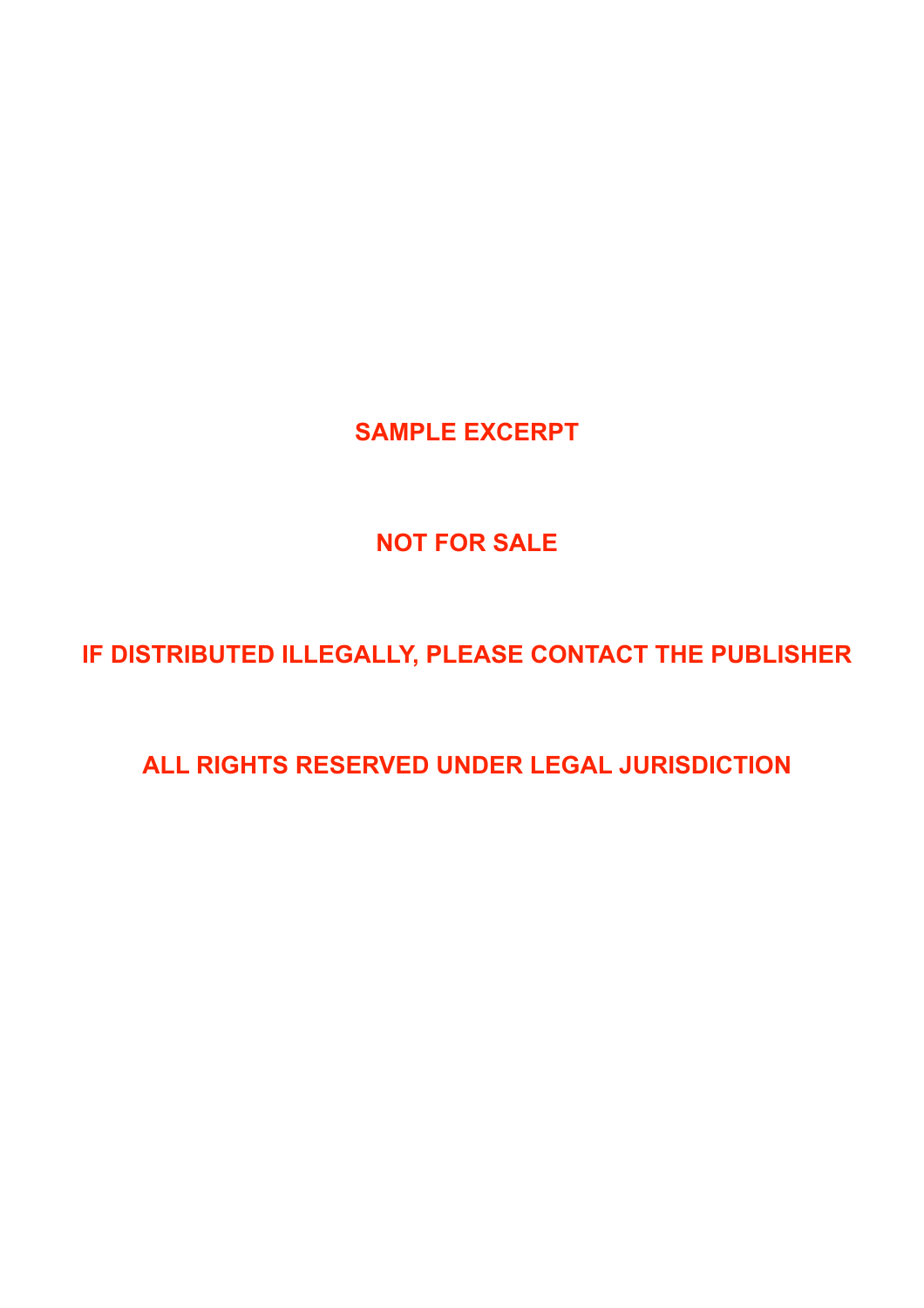**SAMPLE EXCERPT**

**NOT FOR SALE**

**IF DISTRIBUTED ILLEGALLY, PLEASE CONTACT THE PUBLISHER**

**ALL RIGHTS RESERVED UNDER LEGAL JURISDICTION**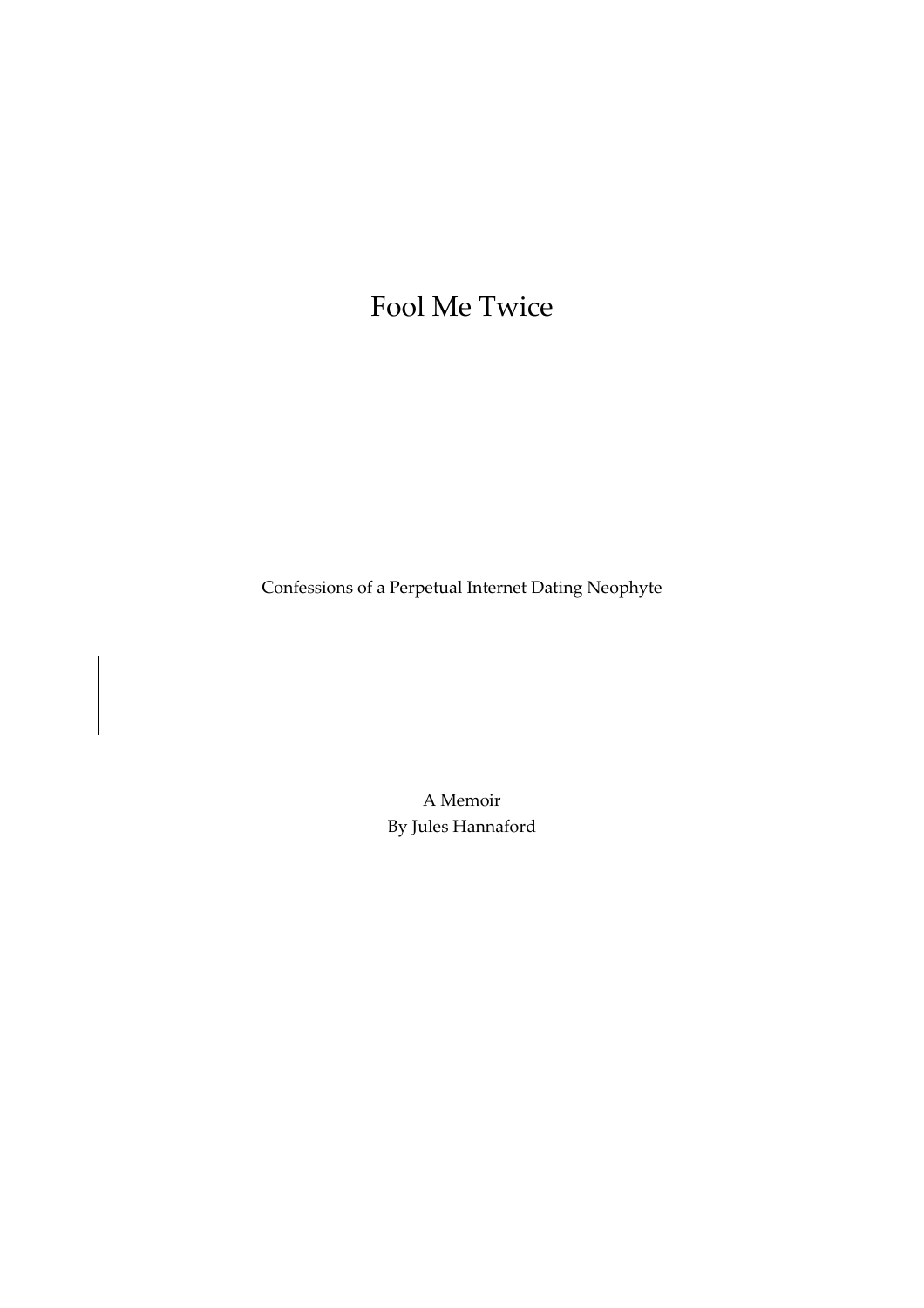### Fool Me Twice

Confessions of a Perpetual Internet Dating Neophyte

A Memoir By Jules Hannaford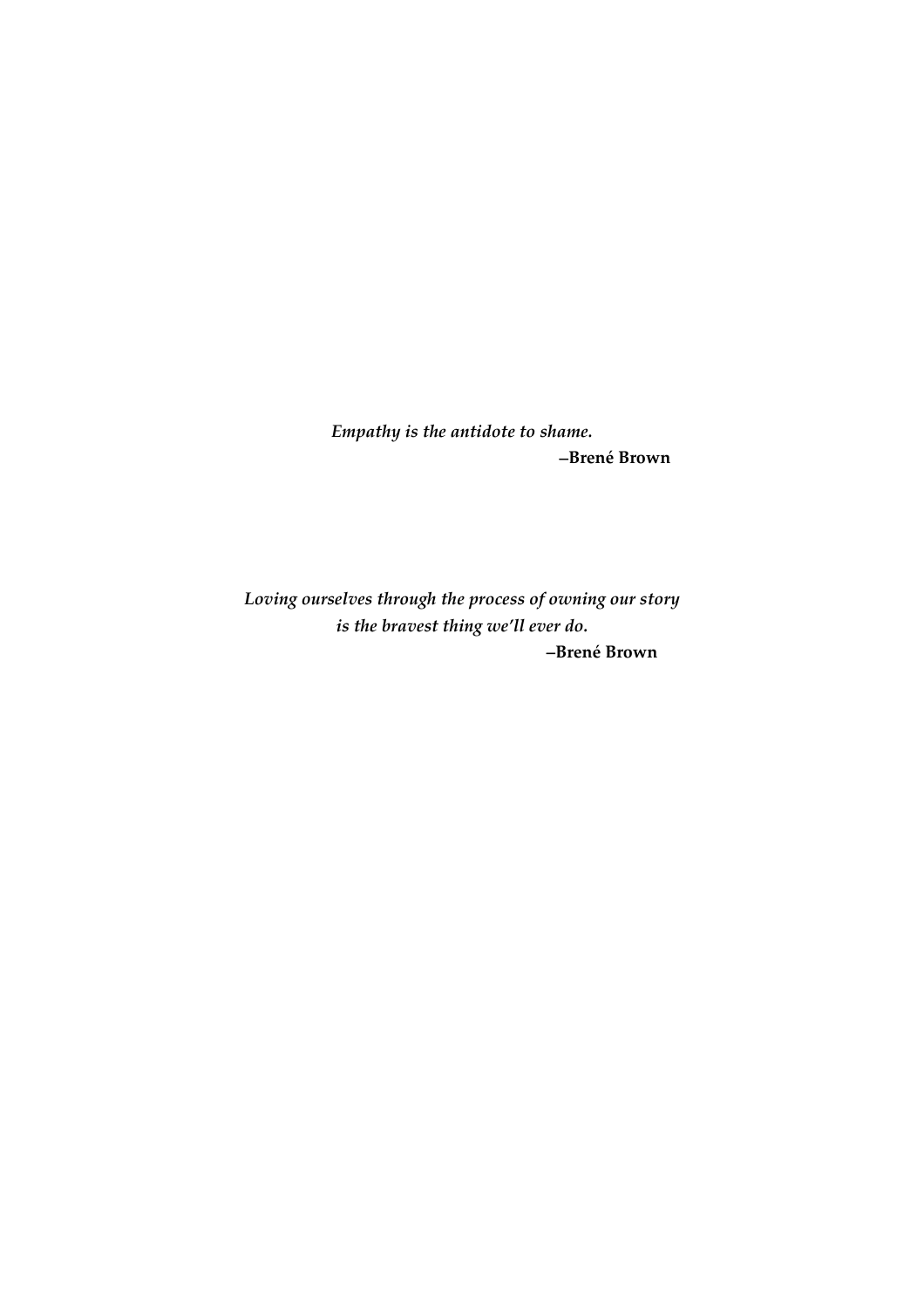*Empathy is the antidote to shame.* **Brené Brown**

*Loving ourselves through the process of owning our story is the bravest thing we'll ever do.* **Brené Brown**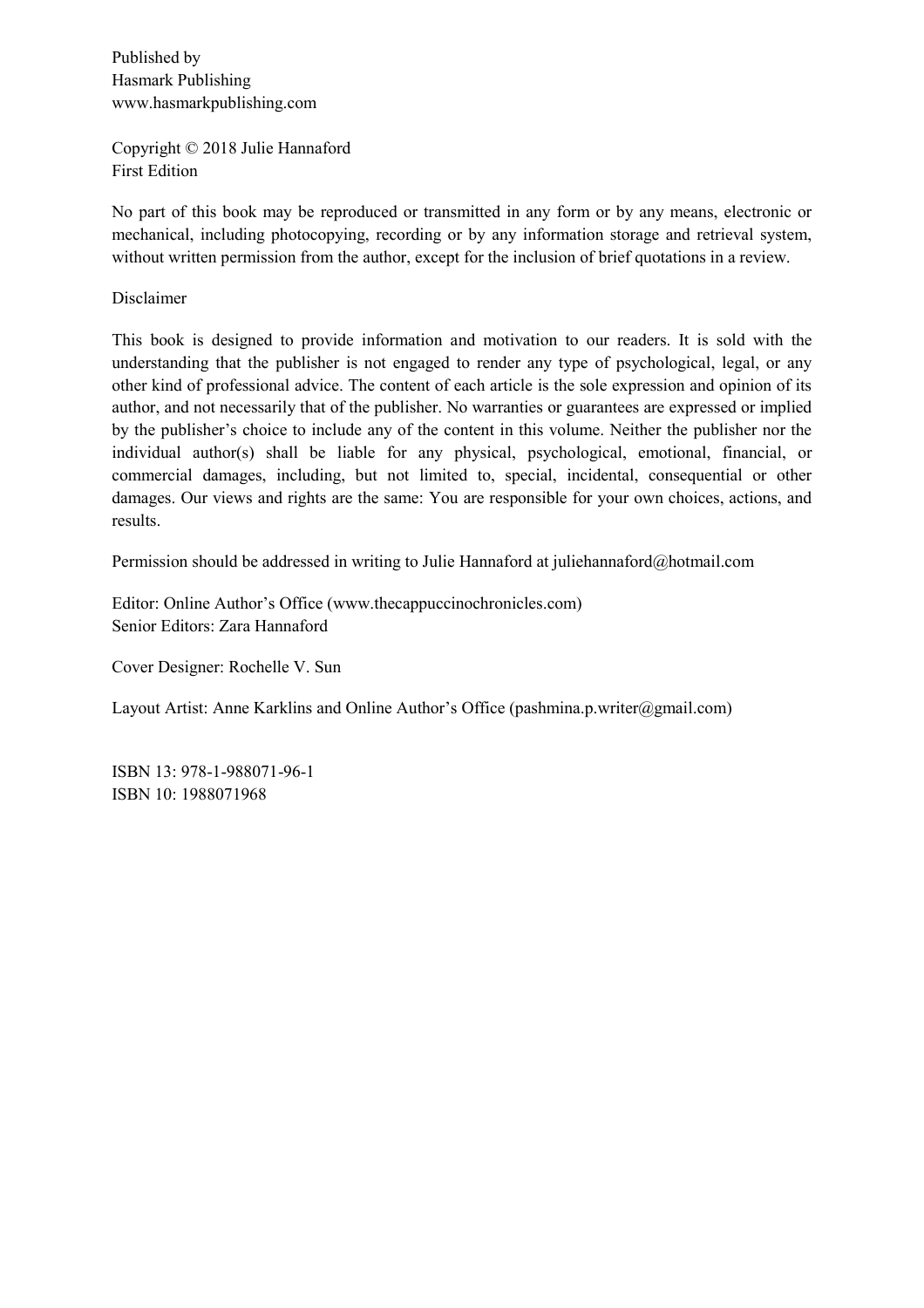Published by Hasmark Publishing www.hasmarkpublishing.com

Copyright © 2018 Julie Hannaford First Edition

No part of this book may be reproduced or transmitted in any form or by any means, electronic or mechanical, including photocopying, recording or by any information storage and retrieval system, without written permission from the author, except for the inclusion of brief quotations in a review.

Disclaimer

This book is designed to provide information and motivation to our readers. It is sold with the understanding that the publisher is not engaged to render any type of psychological, legal, or any other kind of professional advice. The content of each article is the sole expression and opinion of its author, and not necessarily that of the publisher. No warranties or guarantees are expressed or implied by the publisher's choice to include any of the content in this volume. Neither the publisher nor the individual author(s) shall be liable for any physical, psychological, emotional, financial, or commercial damages, including, but not limited to, special, incidental, consequential or other damages. Our views and rights are the same: You are responsible for your own choices, actions, and results.

Permission should be addressed in writing to Julie Hannaford at juliehannaford@hotmail.com

Editor: Online Author's Office (www.thecappuccinochronicles.com) Senior Editors: Zara Hannaford

Cover Designer: Rochelle V. Sun

Layout Artist: Anne Karklins and Online Author's Office (pashmina.p.writer@gmail.com)

ISBN 13: 978-1-988071-96-1 ISBN 10: 1988071968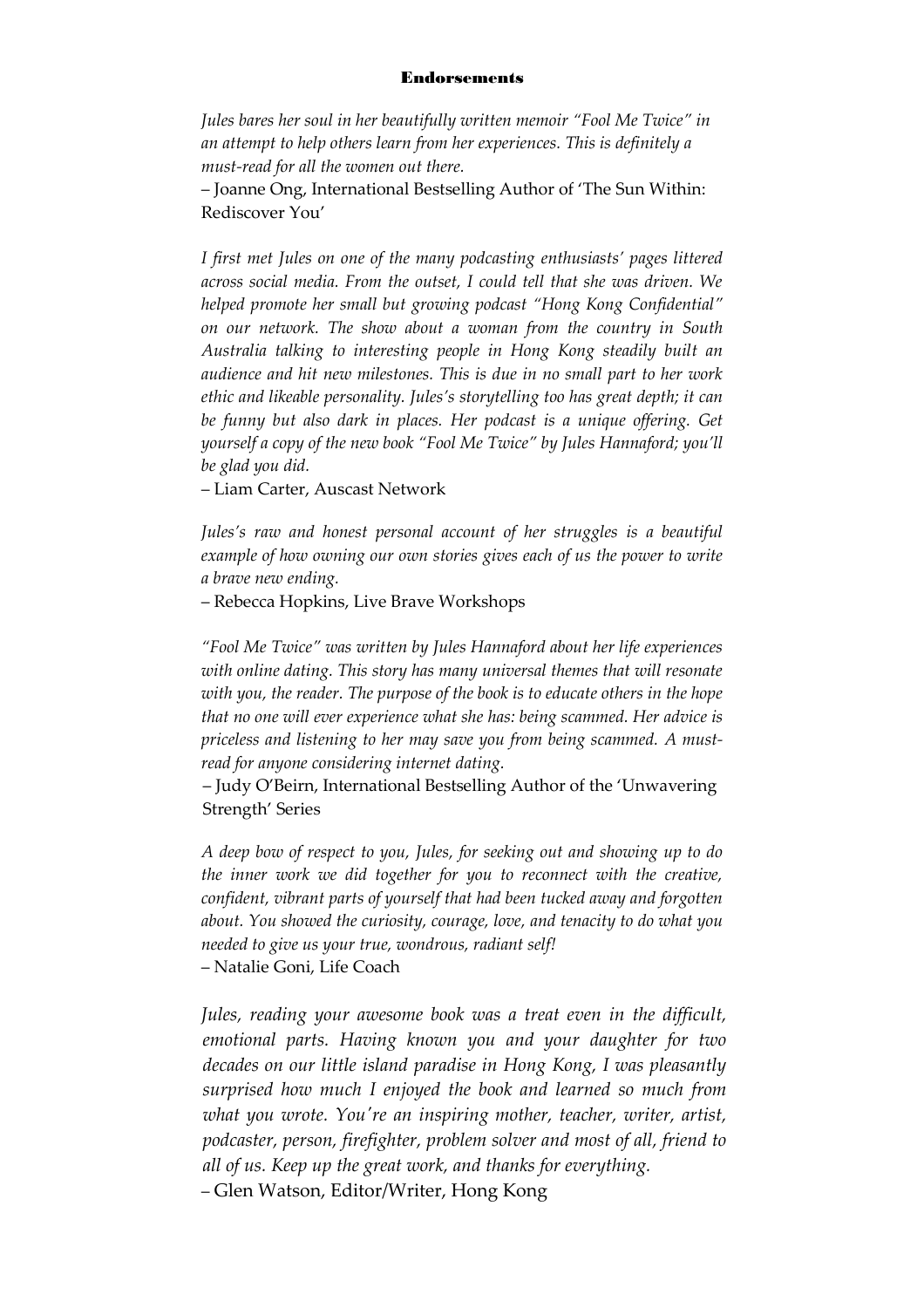#### Endorsements

*Jules bares her soul in her beautifully written memoir "Fool Me Twice" in an attempt to help others learn from her experiences. This is definitely a must-read for all the women out there.* 

– Joanne Ong, International Bestselling Author of 'The Sun Within: Rediscover You'

*I first met Jules on one of the many podcasting enthusiasts' pages littered across social media. From the outset, I could tell that she was driven. We helped promote her small but growing podcast "Hong Kong Confidential" on our network. The show about a woman from the country in South Australia talking to interesting people in Hong Kong steadily built an audience and hit new milestones. This is due in no small part to her work ethic and likeable personality. Jules's storytelling too has great depth; it can be funny but also dark in places. Her podcast is a unique offering. Get yourself a copy of the new book "Fool Me Twice" by Jules Hannaford; you'll be glad you did.*

– Liam Carter, Auscast Network

*Jules's raw and honest personal account of her struggles is a beautiful example of how owning our own stories gives each of us the power to write a brave new ending.*

– Rebecca Hopkins, Live Brave Workshops

*"Fool Me Twice" was written by Jules Hannaford about her life experiences with online dating. This story has many universal themes that will resonate with you, the reader. The purpose of the book is to educate others in the hope that no one will ever experience what she has: being scammed. Her advice is priceless and listening to her may save you from being scammed. A mustread for anyone considering internet dating.*

– Judy O'Beirn, International Bestselling Author of the 'Unwavering Strength' Series

*A deep bow of respect to you, Jules, for seeking out and showing up to do the inner work we did together for you to reconnect with the creative, confident, vibrant parts of yourself that had been tucked away and forgotten about. You showed the curiosity, courage, love, and tenacity to do what you needed to give us your true, wondrous, radiant self!*

– Natalie Goni, Life Coach

*Jules, reading your awesome book was a treat even in the difficult, emotional parts. Having known you and your daughter for two decades on our little island paradise in Hong Kong, I was pleasantly surprised how much I enjoyed the book and learned so much from what you wrote. You're an inspiring mother, teacher, writer, artist, podcaster, person, firefighter, problem solver and most of all, friend to all of us. Keep up the great work, and thanks for everything.* – Glen Watson, Editor/Writer, Hong Kong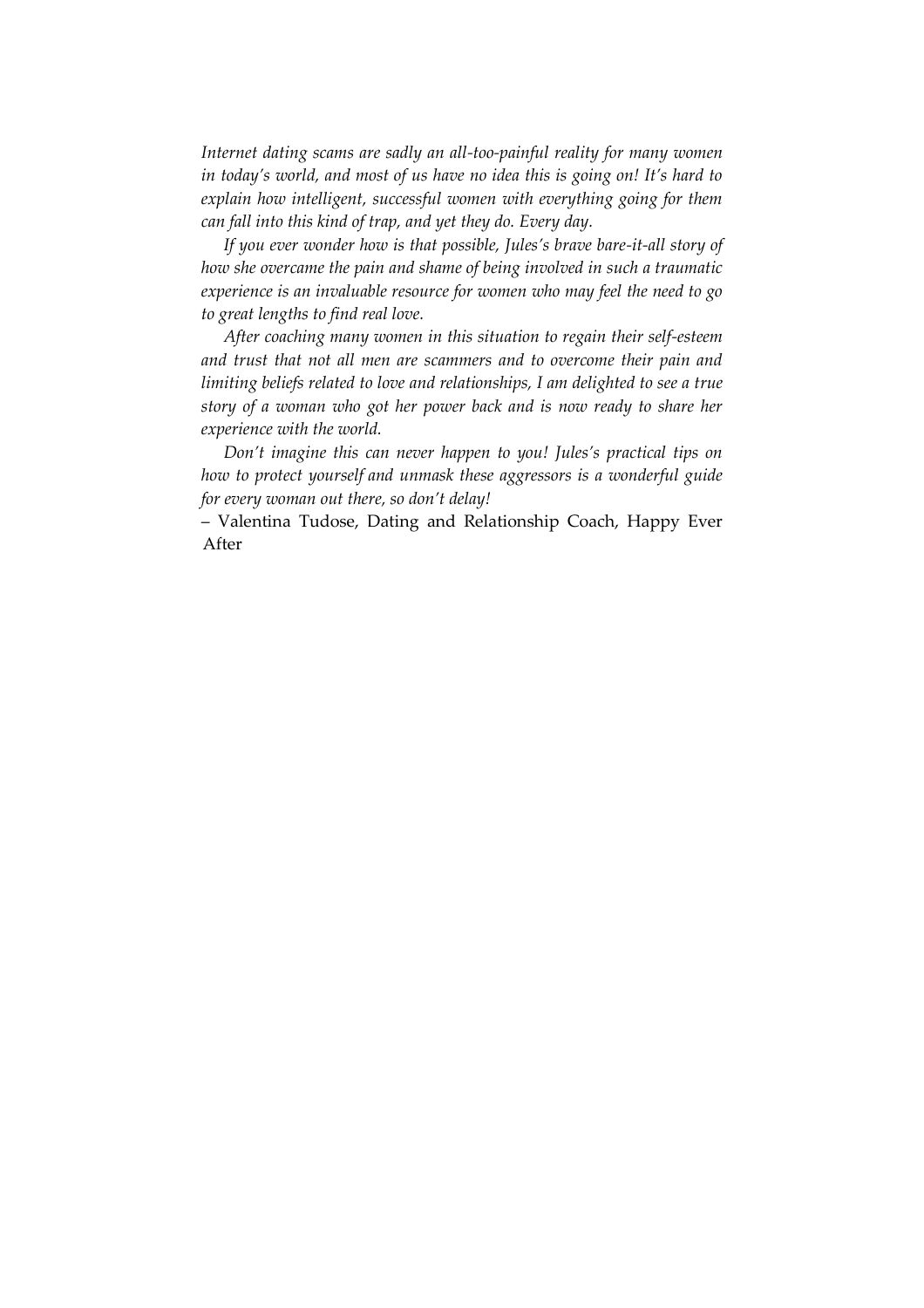*Internet dating scams are sadly an all-too-painful reality for many women in today's world, and most of us have no idea this is going on! It's hard to explain how intelligent, successful women with everything going for them can fall into this kind of trap, and yet they do. Every day.*

*If you ever wonder how is that possible, Jules's brave bare-it-all story of how she overcame the pain and shame of being involved in such a traumatic experience is an invaluable resource for women who may feel the need to go to great lengths to find real love.*

*After coaching many women in this situation to regain their self-esteem and trust that not all men are scammers and to overcome their pain and limiting beliefs related to love and relationships, I am delighted to see a true story of a woman who got her power back and is now ready to share her experience with the world.*

*Don't imagine this can never happen to you! Jules's practical tips on how to protect yourself and unmask these aggressors is a wonderful guide for every woman out there, so don't delay!*

– Valentina Tudose, Dating and Relationship Coach, Happy Ever After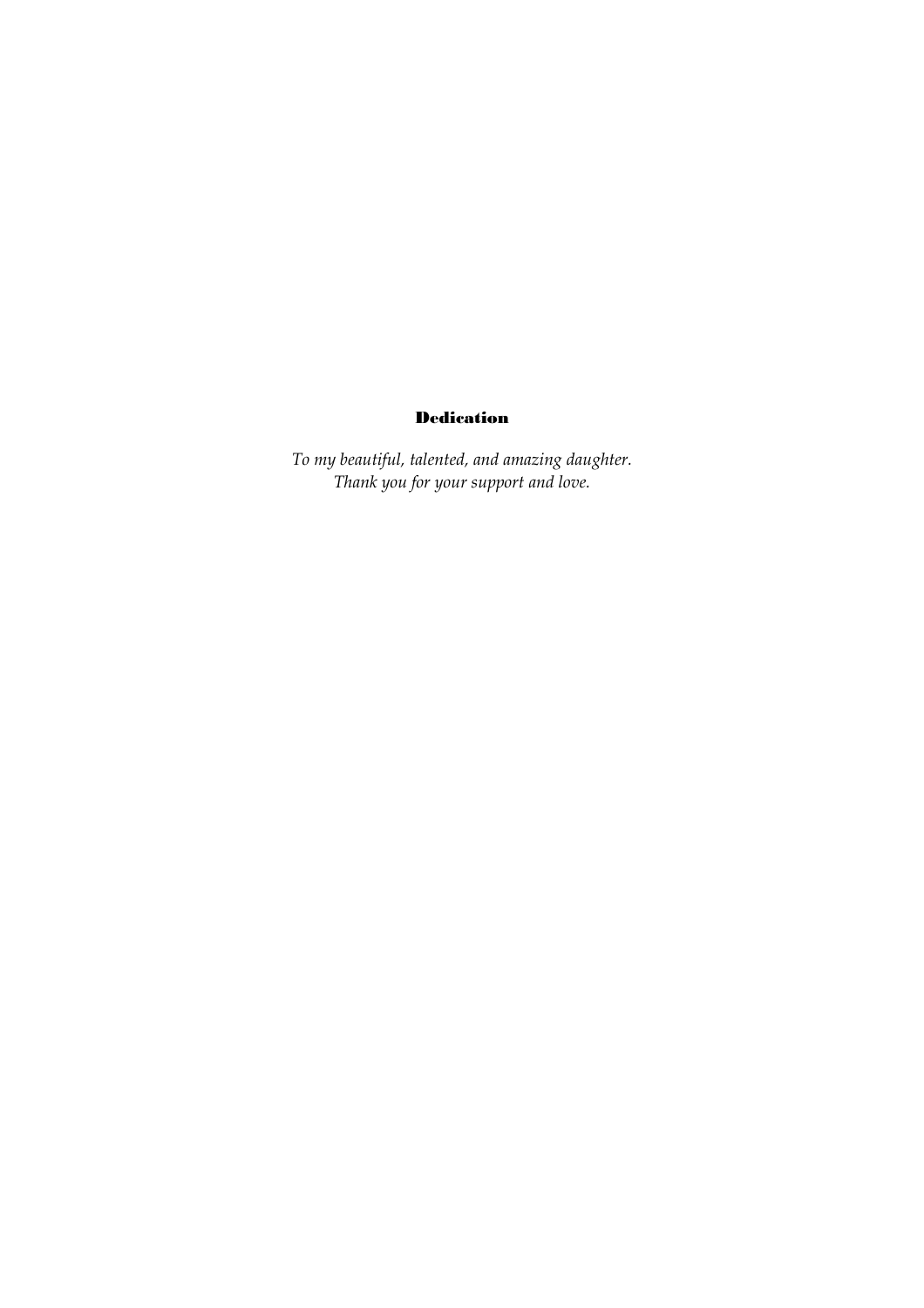#### **Dedication**

*To my beautiful, talented, and amazing daughter. Thank you for your support and love.*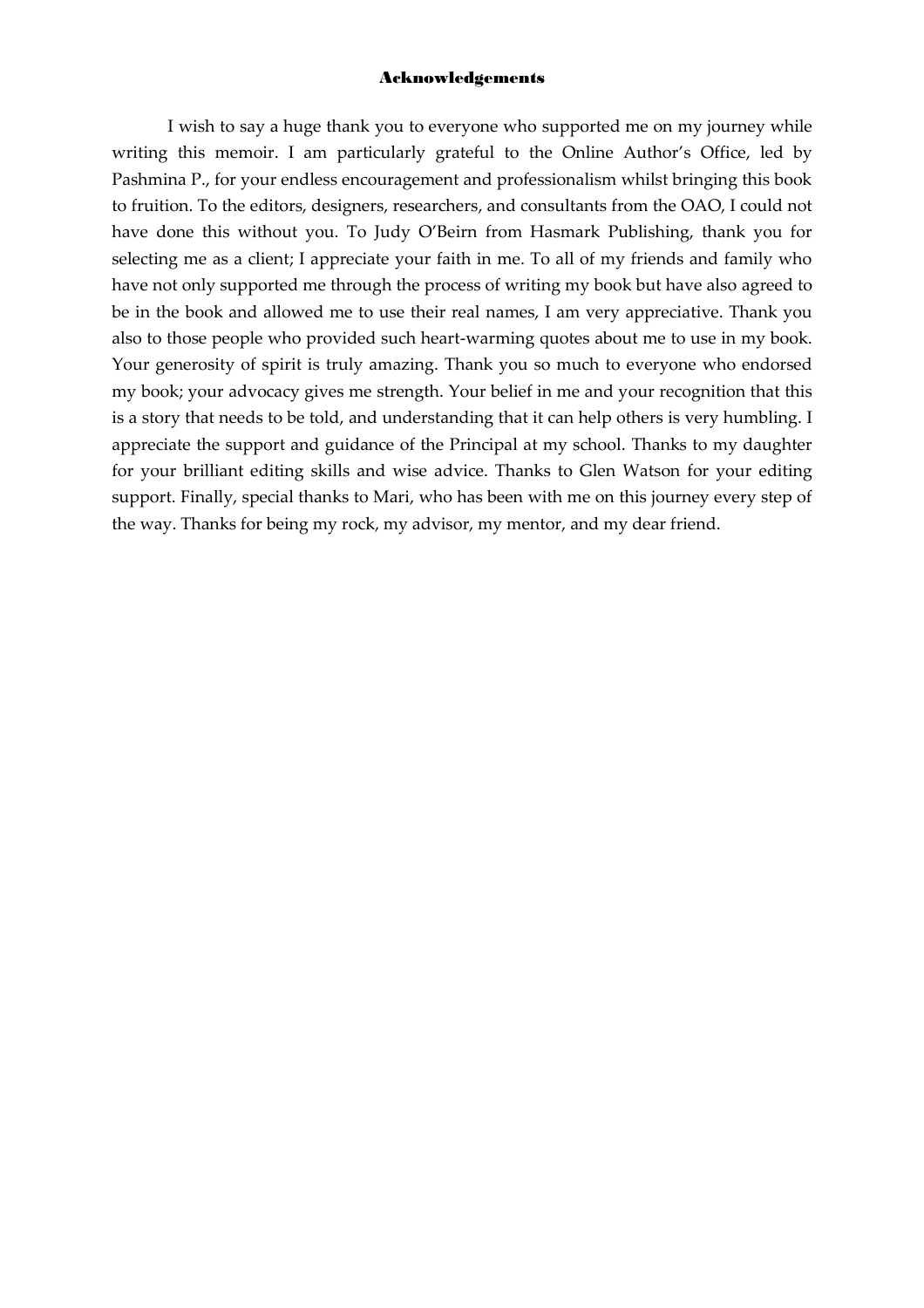#### Acknowledgements

I wish to say a huge thank you to everyone who supported me on my journey while writing this memoir. I am particularly grateful to the Online Author's Office, led by Pashmina P., for your endless encouragement and professionalism whilst bringing this book to fruition. To the editors, designers, researchers, and consultants from the OAO, I could not have done this without you. To Judy O'Beirn from Hasmark Publishing, thank you for selecting me as a client; I appreciate your faith in me. To all of my friends and family who have not only supported me through the process of writing my book but have also agreed to be in the book and allowed me to use their real names, I am very appreciative. Thank you also to those people who provided such heart-warming quotes about me to use in my book. Your generosity of spirit is truly amazing. Thank you so much to everyone who endorsed my book; your advocacy gives me strength. Your belief in me and your recognition that this is a story that needs to be told, and understanding that it can help others is very humbling. I appreciate the support and guidance of the Principal at my school. Thanks to my daughter for your brilliant editing skills and wise advice. Thanks to Glen Watson for your editing support. Finally, special thanks to Mari, who has been with me on this journey every step of the way. Thanks for being my rock, my advisor, my mentor, and my dear friend.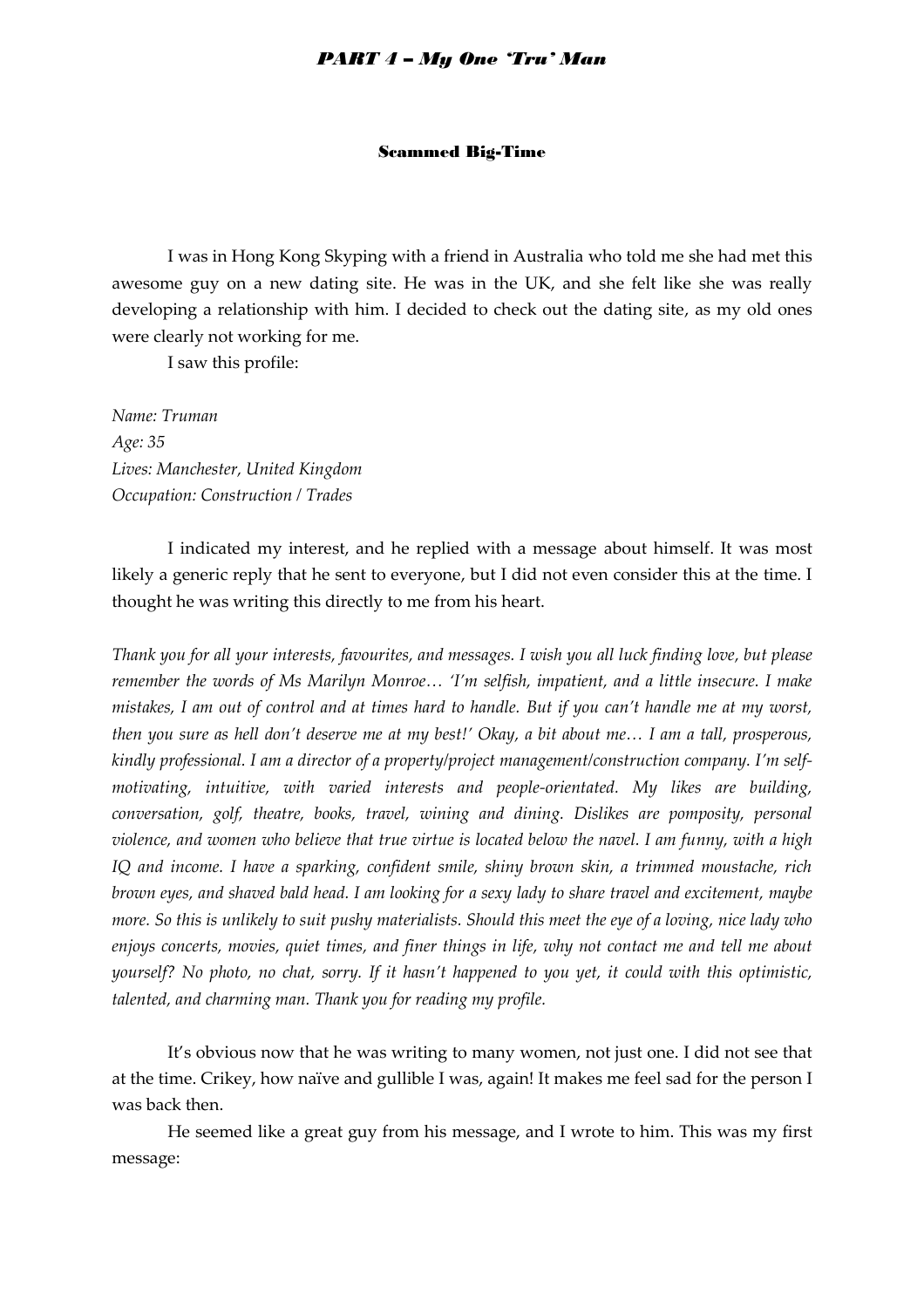#### *PART 4 – My One 'Tru' Man*

#### Scammed Big-Time

I was in Hong Kong Skyping with a friend in Australia who told me she had met this awesome guy on a new dating site. He was in the UK, and she felt like she was really developing a relationship with him. I decided to check out the dating site, as my old ones were clearly not working for me.

I saw this profile:

*Name: Truman Age: 35 Lives: Manchester, United Kingdom Occupation: Construction / Trades*

I indicated my interest, and he replied with a message about himself. It was most likely a generic reply that he sent to everyone, but I did not even consider this at the time. I thought he was writing this directly to me from his heart.

*Thank you for all your interests, favourites, and messages. I wish you all luck finding love, but please remember the words of Ms Marilyn Monroe… 'I'm selfish, impatient, and a little insecure. I make mistakes, I am out of control and at times hard to handle. But if you can't handle me at my worst, then you sure as hell don't deserve me at my best!' Okay, a bit about me… I am a tall, prosperous, kindly professional. I am a director of a property/project management/construction company. I'm selfmotivating, intuitive, with varied interests and people-orientated. My likes are building, conversation, golf, theatre, books, travel, wining and dining. Dislikes are pomposity, personal violence, and women who believe that true virtue is located below the navel. I am funny, with a high IQ and income. I have a sparking, confident smile, shiny brown skin, a trimmed moustache, rich brown eyes, and shaved bald head. I am looking for a sexy lady to share travel and excitement, maybe more. So this is unlikely to suit pushy materialists. Should this meet the eye of a loving, nice lady who enjoys concerts, movies, quiet times, and finer things in life, why not contact me and tell me about yourself? No photo, no chat, sorry. If it hasn't happened to you yet, it could with this optimistic, talented, and charming man. Thank you for reading my profile.*

It's obvious now that he was writing to many women, not just one. I did not see that at the time. Crikey, how naïve and gullible I was, again! It makes me feel sad for the person I was back then.

He seemed like a great guy from his message, and I wrote to him. This was my first message: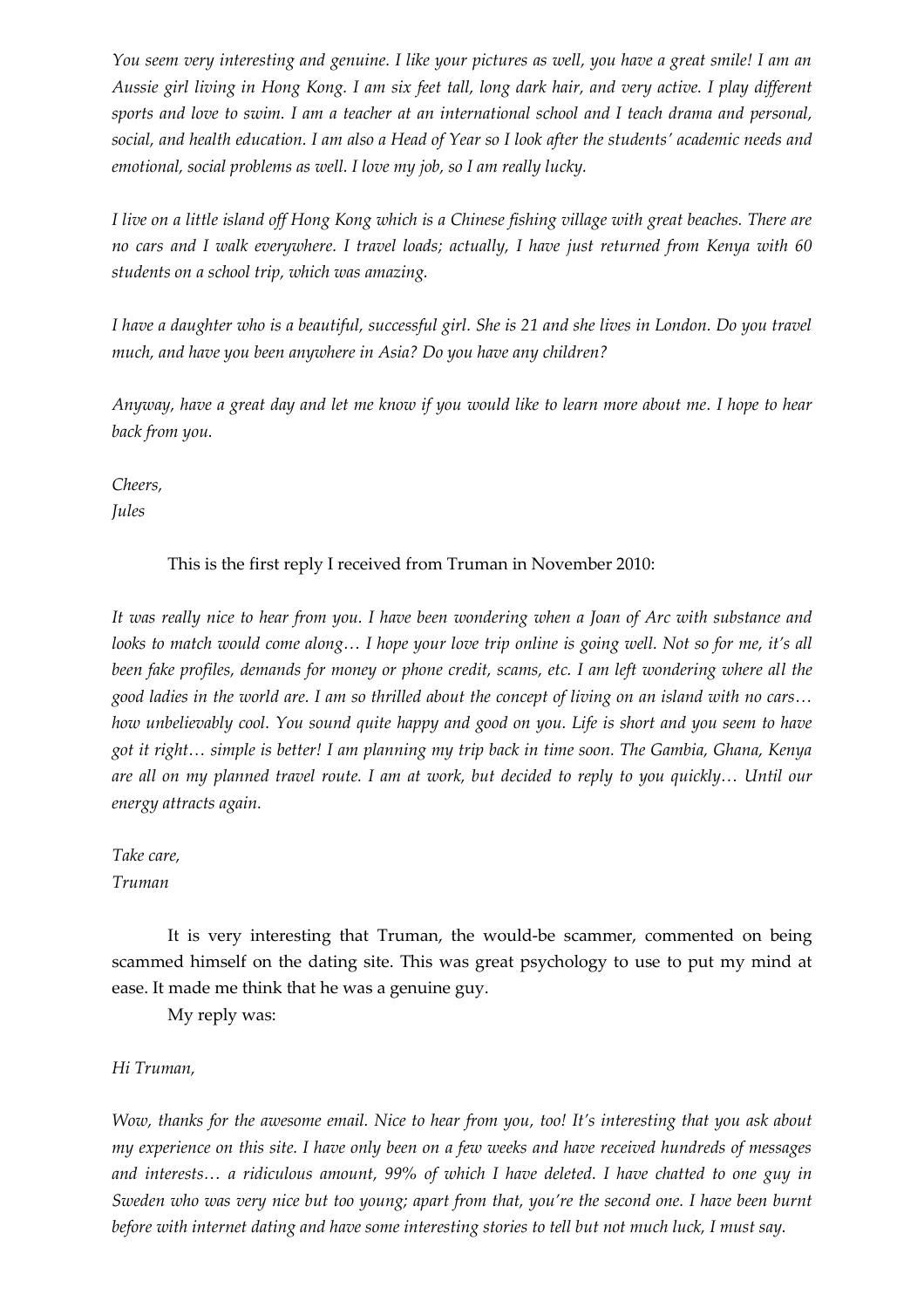*You seem very interesting and genuine. I like your pictures as well, you have a great smile! I am an Aussie girl living in Hong Kong. I am six feet tall, long dark hair, and very active. I play different sports and love to swim. I am a teacher at an international school and I teach drama and personal, social, and health education. I am also a Head of Year so I look after the students' academic needs and emotional, social problems as well. I love my job, so I am really lucky.*

*I live on a little island off Hong Kong which is a Chinese fishing village with great beaches. There are no cars and I walk everywhere. I travel loads; actually, I have just returned from Kenya with 60 students on a school trip, which was amazing.*

*I have a daughter who is a beautiful, successful girl. She is 21 and she lives in London. Do you travel much, and have you been anywhere in Asia? Do you have any children?*

*Anyway, have a great day and let me know if you would like to learn more about me. I hope to hear back from you.*

*Cheers,*

*Jules*

This is the first reply I received from Truman in November 2010:

*It was really nice to hear from you. I have been wondering when a Joan of Arc with substance and looks to match would come along… I hope your love trip online is going well. Not so for me, it's all been fake profiles, demands for money or phone credit, scams, etc. I am left wondering where all the good ladies in the world are. I am so thrilled about the concept of living on an island with no cars… how unbelievably cool. You sound quite happy and good on you. Life is short and you seem to have got it right… simple is better! I am planning my trip back in time soon. The Gambia, Ghana, Kenya are all on my planned travel route. I am at work, but decided to reply to you quickly… Until our energy attracts again.*

*Take care, Truman*

It is very interesting that Truman, the would-be scammer, commented on being scammed himself on the dating site. This was great psychology to use to put my mind at ease. It made me think that he was a genuine guy.

My reply was:

*Hi Truman,*

*Wow, thanks for the awesome email. Nice to hear from you, too! It's interesting that you ask about my experience on this site. I have only been on a few weeks and have received hundreds of messages and interests… a ridiculous amount, 99% of which I have deleted. I have chatted to one guy in Sweden who was very nice but too young; apart from that, you're the second one. I have been burnt before with internet dating and have some interesting stories to tell but not much luck, I must say.*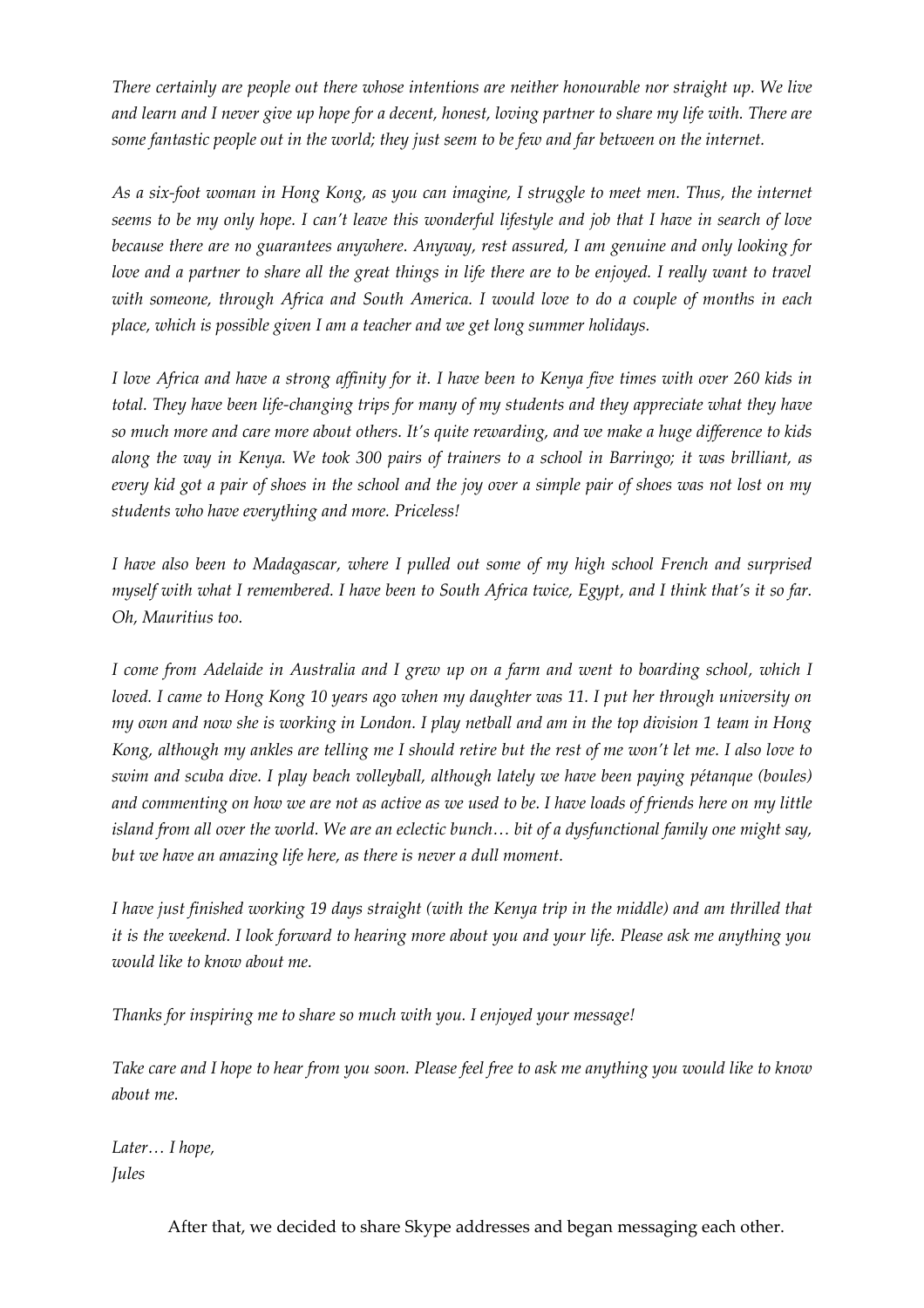*There certainly are people out there whose intentions are neither honourable nor straight up. We live and learn and I never give up hope for a decent, honest, loving partner to share my life with. There are some fantastic people out in the world; they just seem to be few and far between on the internet.* 

*As a six-foot woman in Hong Kong, as you can imagine, I struggle to meet men. Thus, the internet seems to be my only hope. I can't leave this wonderful lifestyle and job that I have in search of love because there are no guarantees anywhere. Anyway, rest assured, I am genuine and only looking for love and a partner to share all the great things in life there are to be enjoyed. I really want to travel with someone, through Africa and South America. I would love to do a couple of months in each place, which is possible given I am a teacher and we get long summer holidays.* 

*I love Africa and have a strong affinity for it. I have been to Kenya five times with over 260 kids in total. They have been life-changing trips for many of my students and they appreciate what they have so much more and care more about others. It's quite rewarding, and we make a huge difference to kids along the way in Kenya. We took 300 pairs of trainers to a school in Barringo; it was brilliant, as every kid got a pair of shoes in the school and the joy over a simple pair of shoes was not lost on my students who have everything and more. Priceless!*

*I have also been to Madagascar, where I pulled out some of my high school French and surprised myself with what I remembered. I have been to South Africa twice, Egypt, and I think that's it so far. Oh, Mauritius too.*

*I come from Adelaide in Australia and I grew up on a farm and went to boarding school, which I loved. I came to Hong Kong 10 years ago when my daughter was 11. I put her through university on my own and now she is working in London. I play netball and am in the top division 1 team in Hong Kong, although my ankles are telling me I should retire but the rest of me won't let me. I also love to swim and scuba dive. I play beach volleyball, although lately we have been paying pétanque (boules) and commenting on how we are not as active as we used to be. I have loads of friends here on my little island from all over the world. We are an eclectic bunch… bit of a dysfunctional family one might say, but we have an amazing life here, as there is never a dull moment.*

*I have just finished working 19 days straight (with the Kenya trip in the middle) and am thrilled that it is the weekend. I look forward to hearing more about you and your life. Please ask me anything you would like to know about me.*

*Thanks for inspiring me to share so much with you. I enjoyed your message!* 

*Take care and I hope to hear from you soon. Please feel free to ask me anything you would like to know about me.*

*Later… I hope, Jules*

After that, we decided to share Skype addresses and began messaging each other.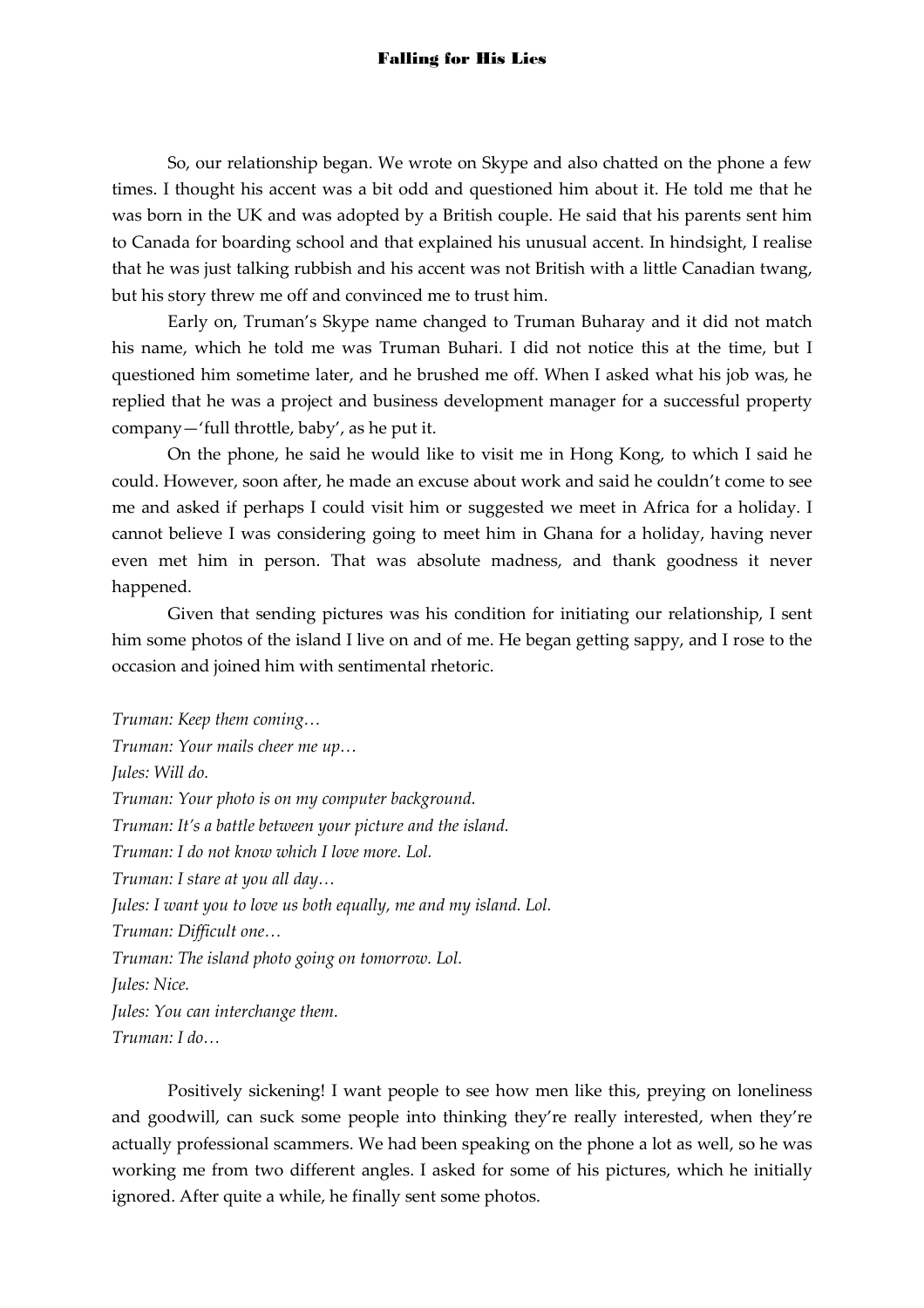So, our relationship began. We wrote on Skype and also chatted on the phone a few times. I thought his accent was a bit odd and questioned him about it. He told me that he was born in the UK and was adopted by a British couple. He said that his parents sent him to Canada for boarding school and that explained his unusual accent. In hindsight, I realise that he was just talking rubbish and his accent was not British with a little Canadian twang, but his story threw me off and convinced me to trust him.

Early on, Truman's Skype name changed to Truman Buharay and it did not match his name, which he told me was Truman Buhari. I did not notice this at the time, but I questioned him sometime later, and he brushed me off. When I asked what his job was, he replied that he was a project and business development manager for a successful property company—'full throttle, baby', as he put it.

On the phone, he said he would like to visit me in Hong Kong, to which I said he could. However, soon after, he made an excuse about work and said he couldn't come to see me and asked if perhaps I could visit him or suggested we meet in Africa for a holiday. I cannot believe I was considering going to meet him in Ghana for a holiday, having never even met him in person. That was absolute madness, and thank goodness it never happened.

Given that sending pictures was his condition for initiating our relationship, I sent him some photos of the island I live on and of me. He began getting sappy, and I rose to the occasion and joined him with sentimental rhetoric.

*Truman: Keep them coming… Truman: Your mails cheer me up… Jules: Will do. Truman: Your photo is on my computer background. Truman: It's a battle between your picture and the island. Truman: I do not know which I love more. Lol. Truman: I stare at you all day… Jules: I want you to love us both equally, me and my island. Lol. Truman: Difficult one… Truman: The island photo going on tomorrow. Lol. Jules: Nice. Jules: You can interchange them. Truman: I do…*

Positively sickening! I want people to see how men like this, preying on loneliness and goodwill, can suck some people into thinking they're really interested, when they're actually professional scammers. We had been speaking on the phone a lot as well, so he was working me from two different angles. I asked for some of his pictures, which he initially ignored. After quite a while, he finally sent some photos.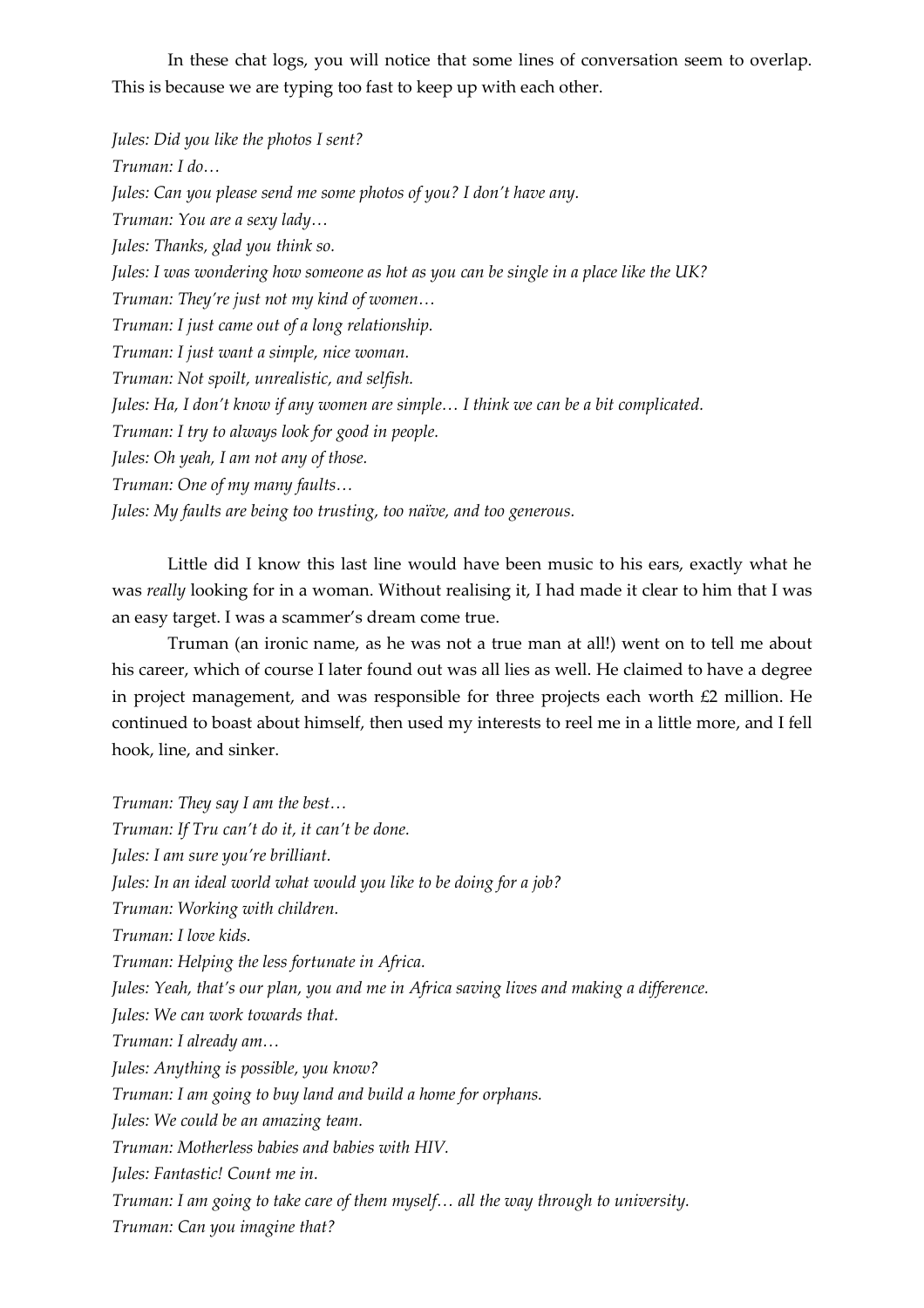In these chat logs, you will notice that some lines of conversation seem to overlap. This is because we are typing too fast to keep up with each other.

*Jules: Did you like the photos I sent? Truman: I do… Jules: Can you please send me some photos of you? I don't have any. Truman: You are a sexy lady… Jules: Thanks, glad you think so. Jules: I was wondering how someone as hot as you can be single in a place like the UK? Truman: They're just not my kind of women… Truman: I just came out of a long relationship. Truman: I just want a simple, nice woman. Truman: Not spoilt, unrealistic, and selfish. Jules: Ha, I don't know if any women are simple… I think we can be a bit complicated. Truman: I try to always look for good in people. Jules: Oh yeah, I am not any of those. Truman: One of my many faults… Jules: My faults are being too trusting, too naïve, and too generous.*

Little did I know this last line would have been music to his ears, exactly what he was *really* looking for in a woman. Without realising it, I had made it clear to him that I was an easy target. I was a scammer's dream come true.

Truman (an ironic name, as he was not a true man at all!) went on to tell me about his career, which of course I later found out was all lies as well. He claimed to have a degree in project management, and was responsible for three projects each worth  $£2$  million. He continued to boast about himself, then used my interests to reel me in a little more, and I fell hook, line, and sinker.

*Truman: They say I am the best… Truman: If Tru can't do it, it can't be done. Jules: I am sure you're brilliant. Jules: In an ideal world what would you like to be doing for a job? Truman: Working with children. Truman: I love kids. Truman: Helping the less fortunate in Africa. Jules: Yeah, that's our plan, you and me in Africa saving lives and making a difference. Jules: We can work towards that. Truman: I already am… Jules: Anything is possible, you know? Truman: I am going to buy land and build a home for orphans. Jules: We could be an amazing team. Truman: Motherless babies and babies with HIV. Jules: Fantastic! Count me in. Truman: I am going to take care of them myself… all the way through to university. Truman: Can you imagine that?*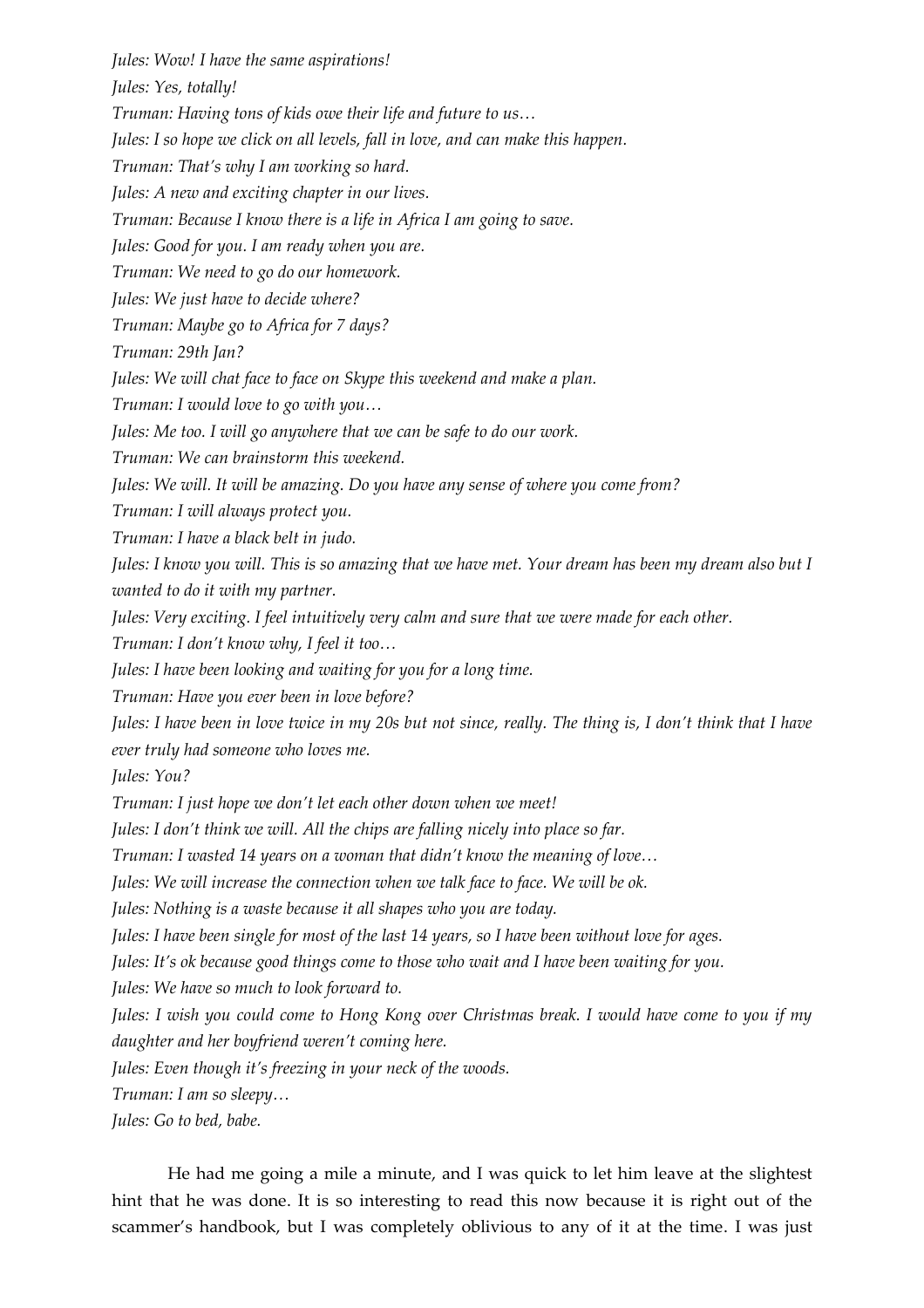*Jules: Wow! I have the same aspirations! Jules: Yes, totally! Truman: Having tons of kids owe their life and future to us… Jules: I so hope we click on all levels, fall in love, and can make this happen. Truman: That's why I am working so hard. Jules: A new and exciting chapter in our lives. Truman: Because I know there is a life in Africa I am going to save. Jules: Good for you. I am ready when you are. Truman: We need to go do our homework. Jules: We just have to decide where? Truman: Maybe go to Africa for 7 days? Truman: 29th Jan? Jules: We will chat face to face on Skype this weekend and make a plan. Truman: I would love to go with you… Jules: Me too. I will go anywhere that we can be safe to do our work. Truman: We can brainstorm this weekend. Jules: We will. It will be amazing. Do you have any sense of where you come from? Truman: I will always protect you. Truman: I have a black belt in judo. Jules: I know you will. This is so amazing that we have met. Your dream has been my dream also but I wanted to do it with my partner. Jules: Very exciting. I feel intuitively very calm and sure that we were made for each other. Truman: I don't know why, I feel it too… Jules: I have been looking and waiting for you for a long time. Truman: Have you ever been in love before? Jules: I have been in love twice in my 20s but not since, really. The thing is, I don't think that I have ever truly had someone who loves me. Jules: You? Truman: I just hope we don't let each other down when we meet! Jules: I don't think we will. All the chips are falling nicely into place so far. Truman: I wasted 14 years on a woman that didn't know the meaning of love… Jules: We will increase the connection when we talk face to face. We will be ok. Jules: Nothing is a waste because it all shapes who you are today. Jules: I have been single for most of the last 14 years, so I have been without love for ages. Jules: It's ok because good things come to those who wait and I have been waiting for you. Jules: We have so much to look forward to. Jules: I wish you could come to Hong Kong over Christmas break. I would have come to you if my daughter and her boyfriend weren't coming here. Jules: Even though it's freezing in your neck of the woods. Truman: I am so sleepy… Jules: Go to bed, babe.*

He had me going a mile a minute, and I was quick to let him leave at the slightest hint that he was done. It is so interesting to read this now because it is right out of the scammer's handbook, but I was completely oblivious to any of it at the time. I was just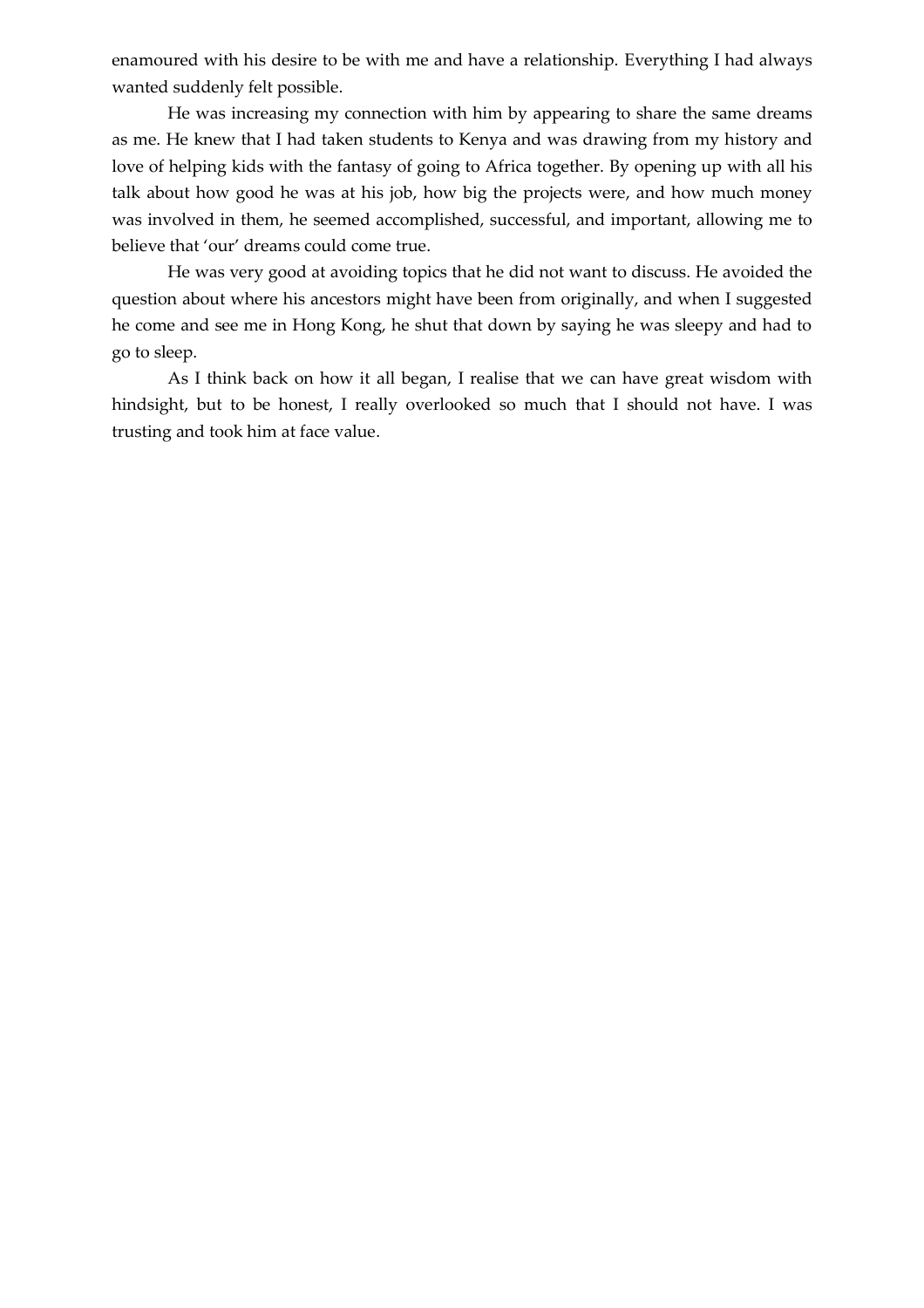enamoured with his desire to be with me and have a relationship. Everything I had always wanted suddenly felt possible.

He was increasing my connection with him by appearing to share the same dreams as me. He knew that I had taken students to Kenya and was drawing from my history and love of helping kids with the fantasy of going to Africa together. By opening up with all his talk about how good he was at his job, how big the projects were, and how much money was involved in them, he seemed accomplished, successful, and important, allowing me to believe that 'our' dreams could come true.

He was very good at avoiding topics that he did not want to discuss. He avoided the question about where his ancestors might have been from originally, and when I suggested he come and see me in Hong Kong, he shut that down by saying he was sleepy and had to go to sleep.

As I think back on how it all began, I realise that we can have great wisdom with hindsight, but to be honest, I really overlooked so much that I should not have. I was trusting and took him at face value.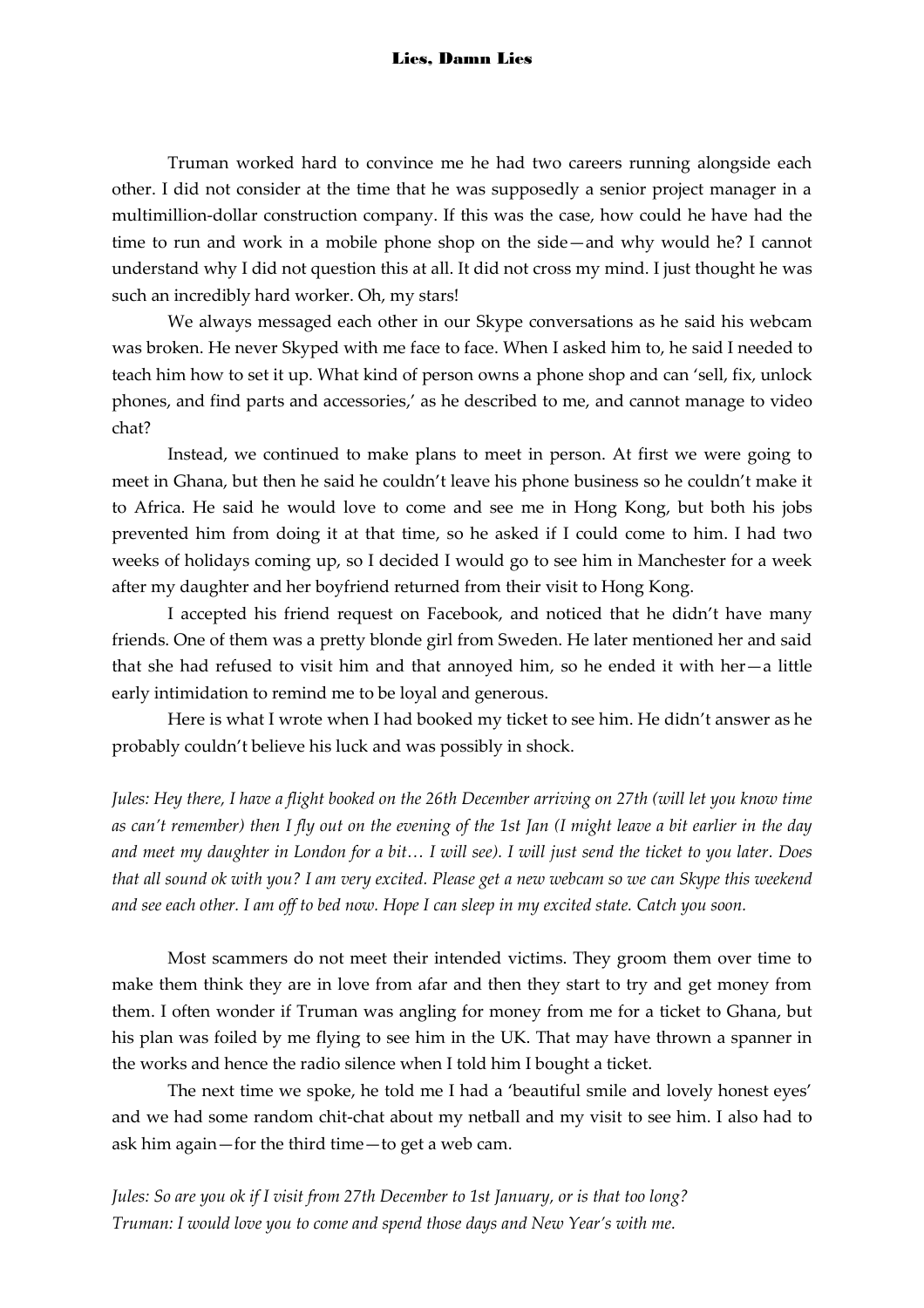#### Lies, Damn Lies

Truman worked hard to convince me he had two careers running alongside each other. I did not consider at the time that he was supposedly a senior project manager in a multimillion-dollar construction company. If this was the case, how could he have had the time to run and work in a mobile phone shop on the side—and why would he? I cannot understand why I did not question this at all. It did not cross my mind. I just thought he was such an incredibly hard worker. Oh, my stars!

We always messaged each other in our Skype conversations as he said his webcam was broken. He never Skyped with me face to face. When I asked him to, he said I needed to teach him how to set it up. What kind of person owns a phone shop and can 'sell, fix, unlock phones, and find parts and accessories,' as he described to me, and cannot manage to video chat?

Instead, we continued to make plans to meet in person. At first we were going to meet in Ghana, but then he said he couldn't leave his phone business so he couldn't make it to Africa. He said he would love to come and see me in Hong Kong, but both his jobs prevented him from doing it at that time, so he asked if I could come to him. I had two weeks of holidays coming up, so I decided I would go to see him in Manchester for a week after my daughter and her boyfriend returned from their visit to Hong Kong.

I accepted his friend request on Facebook, and noticed that he didn't have many friends. One of them was a pretty blonde girl from Sweden. He later mentioned her and said that she had refused to visit him and that annoyed him, so he ended it with her—a little early intimidation to remind me to be loyal and generous.

Here is what I wrote when I had booked my ticket to see him. He didn't answer as he probably couldn't believe his luck and was possibly in shock.

*Jules: Hey there, I have a flight booked on the 26th December arriving on 27th (will let you know time as can't remember) then I fly out on the evening of the 1st Jan (I might leave a bit earlier in the day and meet my daughter in London for a bit… I will see). I will just send the ticket to you later. Does that all sound ok with you? I am very excited. Please get a new webcam so we can Skype this weekend and see each other. I am off to bed now. Hope I can sleep in my excited state. Catch you soon.*

Most scammers do not meet their intended victims. They groom them over time to make them think they are in love from afar and then they start to try and get money from them. I often wonder if Truman was angling for money from me for a ticket to Ghana, but his plan was foiled by me flying to see him in the UK. That may have thrown a spanner in the works and hence the radio silence when I told him I bought a ticket.

The next time we spoke, he told me I had a 'beautiful smile and lovely honest eyes' and we had some random chit-chat about my netball and my visit to see him. I also had to ask him again—for the third time—to get a web cam.

*Jules: So are you ok if I visit from 27th December to 1st January, or is that too long? Truman: I would love you to come and spend those days and New Year's with me.*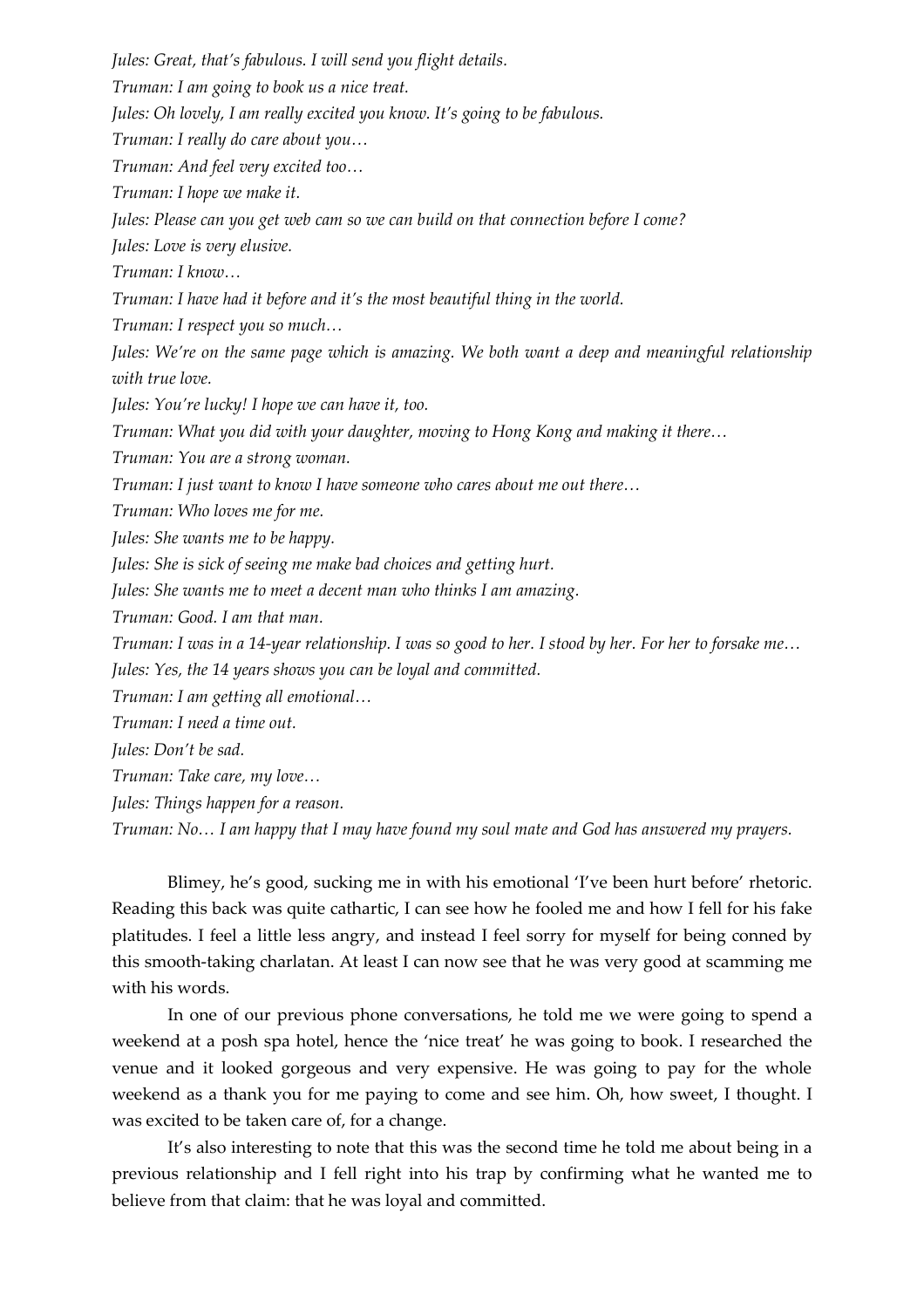*Jules: Great, that's fabulous. I will send you flight details. Truman: I am going to book us a nice treat. Jules: Oh lovely, I am really excited you know. It's going to be fabulous. Truman: I really do care about you… Truman: And feel very excited too… Truman: I hope we make it. Jules: Please can you get web cam so we can build on that connection before I come? Jules: Love is very elusive. Truman: I know… Truman: I have had it before and it's the most beautiful thing in the world. Truman: I respect you so much… Jules: We're on the same page which is amazing. We both want a deep and meaningful relationship with true love. Jules: You're lucky! I hope we can have it, too. Truman: What you did with your daughter, moving to Hong Kong and making it there… Truman: You are a strong woman. Truman: I just want to know I have someone who cares about me out there… Truman: Who loves me for me. Jules: She wants me to be happy. Jules: She is sick of seeing me make bad choices and getting hurt. Jules: She wants me to meet a decent man who thinks I am amazing. Truman: Good. I am that man. Truman: I was in a 14-year relationship. I was so good to her. I stood by her. For her to forsake me… Jules: Yes, the 14 years shows you can be loyal and committed. Truman: I am getting all emotional… Truman: I need a time out. Jules: Don't be sad. Truman: Take care, my love… Jules: Things happen for a reason. Truman: No… I am happy that I may have found my soul mate and God has answered my prayers.*

Blimey, he's good, sucking me in with his emotional 'I've been hurt before' rhetoric. Reading this back was quite cathartic, I can see how he fooled me and how I fell for his fake platitudes. I feel a little less angry, and instead I feel sorry for myself for being conned by this smooth-taking charlatan. At least I can now see that he was very good at scamming me with his words.

In one of our previous phone conversations, he told me we were going to spend a weekend at a posh spa hotel, hence the 'nice treat' he was going to book. I researched the venue and it looked gorgeous and very expensive. He was going to pay for the whole weekend as a thank you for me paying to come and see him. Oh, how sweet, I thought. I was excited to be taken care of, for a change.

It's also interesting to note that this was the second time he told me about being in a previous relationship and I fell right into his trap by confirming what he wanted me to believe from that claim: that he was loyal and committed.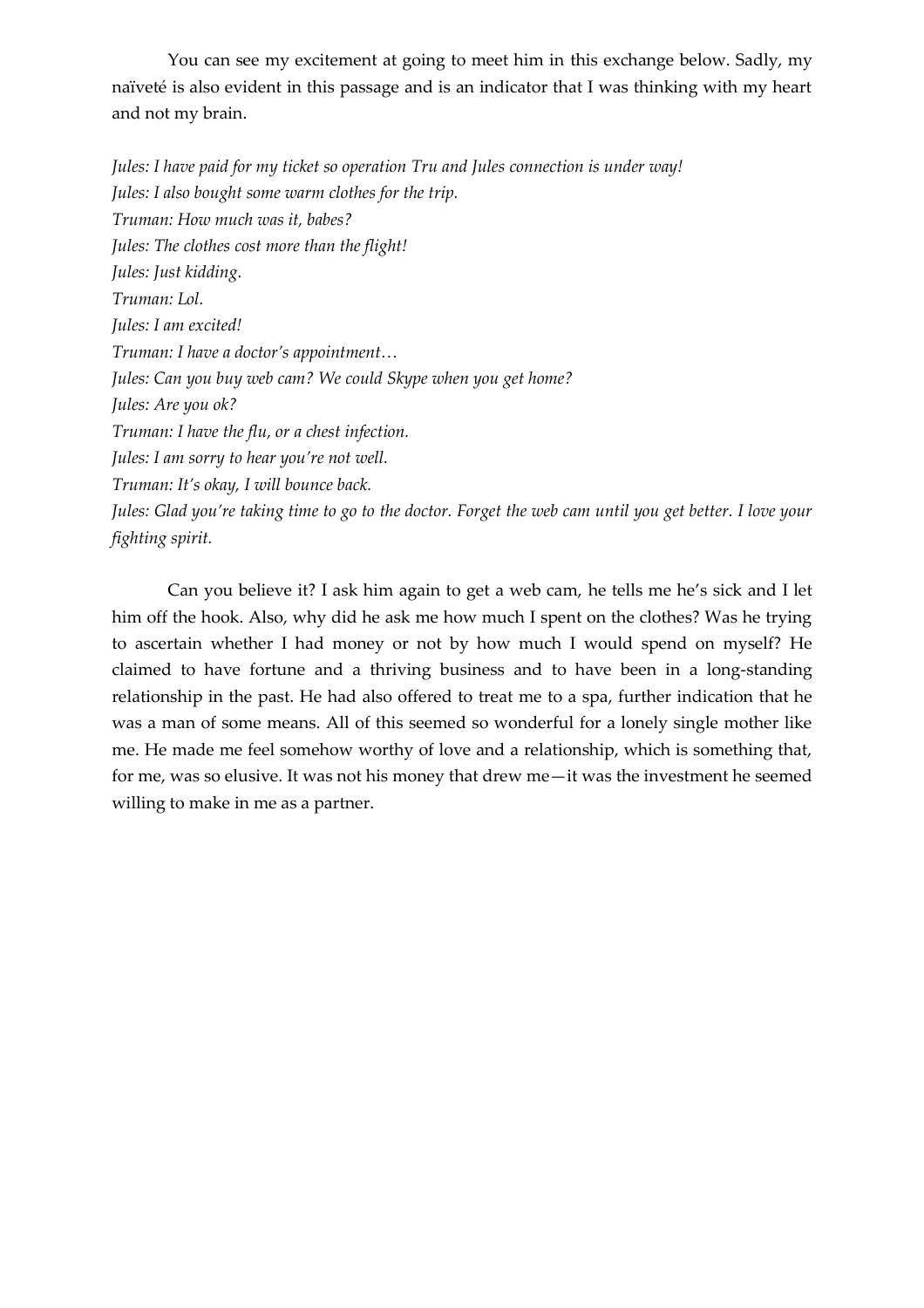You can see my excitement at going to meet him in this exchange below. Sadly, my naïveté is also evident in this passage and is an indicator that I was thinking with my heart and not my brain.

*Jules: I have paid for my ticket so operation Tru and Jules connection is under way! Jules: I also bought some warm clothes for the trip. Truman: How much was it, babes? Jules: The clothes cost more than the flight! Jules: Just kidding. Truman: Lol. Jules: I am excited! Truman: I have a doctor's appointment… Jules: Can you buy web cam? We could Skype when you get home? Jules: Are you ok? Truman: I have the flu, or a chest infection. Jules: I am sorry to hear you're not well. Truman: It's okay, I will bounce back. Jules: Glad you're taking time to go to the doctor. Forget the web cam until you get better. I love your fighting spirit.*

Can you believe it? I ask him again to get a web cam, he tells me he's sick and I let him off the hook. Also, why did he ask me how much I spent on the clothes? Was he trying to ascertain whether I had money or not by how much I would spend on myself? He claimed to have fortune and a thriving business and to have been in a long-standing relationship in the past. He had also offered to treat me to a spa, further indication that he was a man of some means. All of this seemed so wonderful for a lonely single mother like me. He made me feel somehow worthy of love and a relationship, which is something that, for me, was so elusive. It was not his money that drew me—it was the investment he seemed willing to make in me as a partner.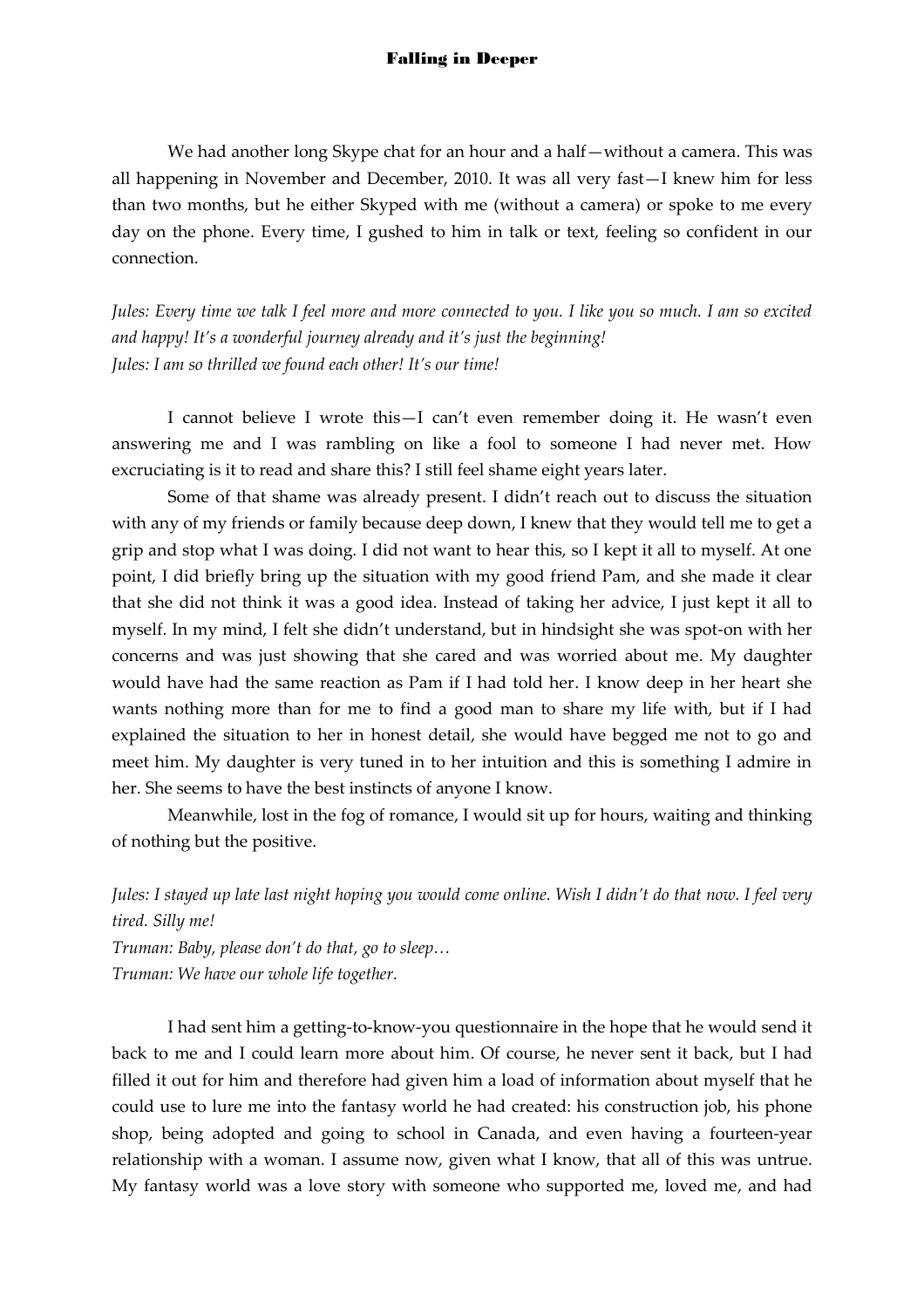We had another long Skype chat for an hour and a half—without a camera. This was all happening in November and December, 2010. It was all very fast—I knew him for less than two months, but he either Skyped with me (without a camera) or spoke to me every day on the phone. Every time, I gushed to him in talk or text, feeling so confident in our connection.

*Jules: Every time we talk I feel more and more connected to you. I like you so much. I am so excited and happy! It's a wonderful journey already and it's just the beginning! Jules: I am so thrilled we found each other! It's our time!* 

I cannot believe I wrote this—I can't even remember doing it. He wasn't even answering me and I was rambling on like a fool to someone I had never met. How excruciating is it to read and share this? I still feel shame eight years later.

Some of that shame was already present. I didn't reach out to discuss the situation with any of my friends or family because deep down, I knew that they would tell me to get a grip and stop what I was doing. I did not want to hear this, so I kept it all to myself. At one point, I did briefly bring up the situation with my good friend Pam, and she made it clear that she did not think it was a good idea. Instead of taking her advice, I just kept it all to myself. In my mind, I felt she didn't understand, but in hindsight she was spot-on with her concerns and was just showing that she cared and was worried about me. My daughter would have had the same reaction as Pam if I had told her. I know deep in her heart she wants nothing more than for me to find a good man to share my life with, but if I had explained the situation to her in honest detail, she would have begged me not to go and meet him. My daughter is very tuned in to her intuition and this is something I admire in her. She seems to have the best instincts of anyone I know.

Meanwhile, lost in the fog of romance, I would sit up for hours, waiting and thinking of nothing but the positive.

*Jules: I stayed up late last night hoping you would come online. Wish I didn't do that now. I feel very tired. Silly me!*

*Truman: Baby, please don't do that, go to sleep… Truman: We have our whole life together.*

I had sent him a getting-to-know-you questionnaire in the hope that he would send it back to me and I could learn more about him. Of course, he never sent it back, but I had filled it out for him and therefore had given him a load of information about myself that he could use to lure me into the fantasy world he had created: his construction job, his phone shop, being adopted and going to school in Canada, and even having a fourteen-year relationship with a woman. I assume now, given what I know, that all of this was untrue. My fantasy world was a love story with someone who supported me, loved me, and had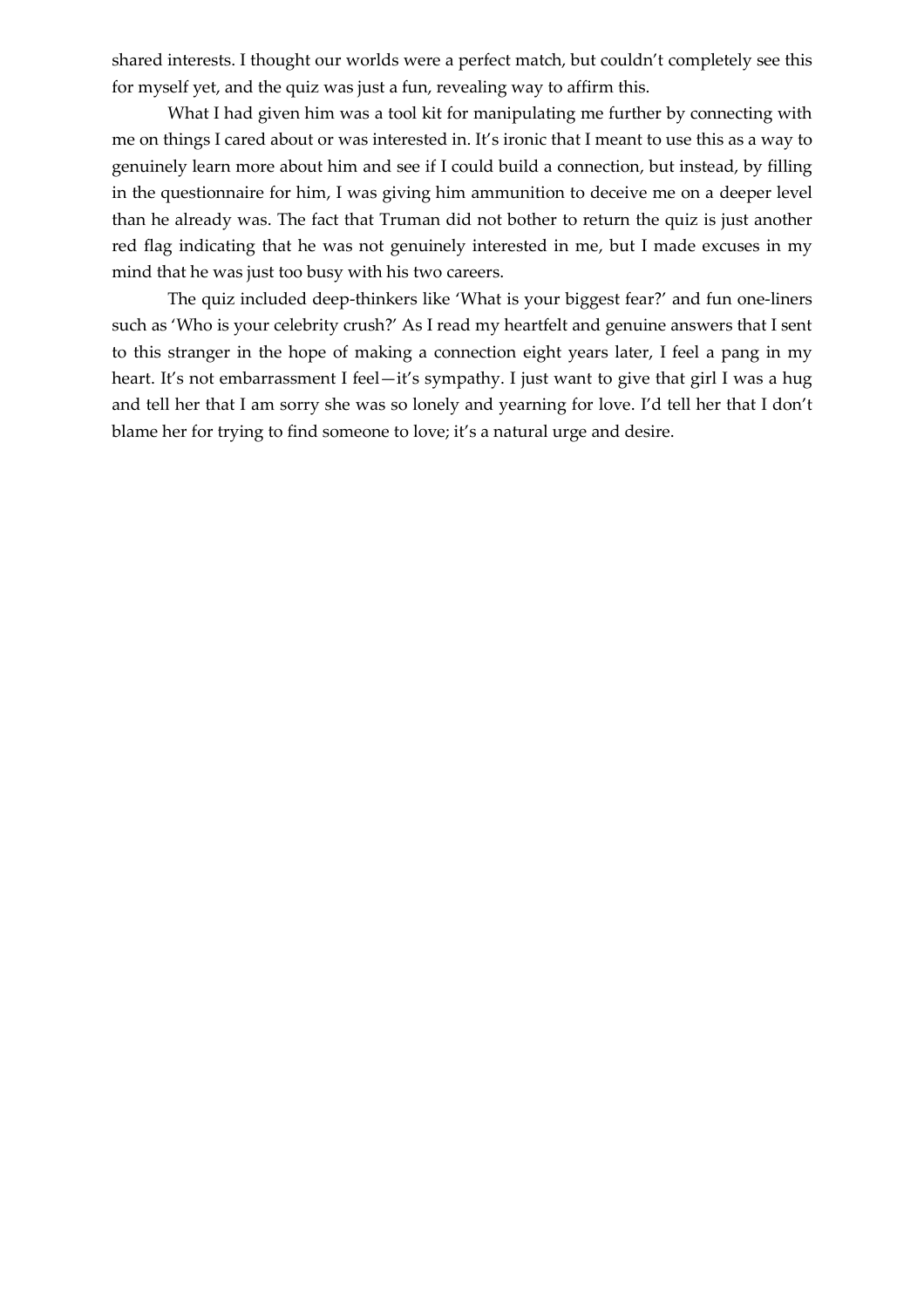shared interests. I thought our worlds were a perfect match, but couldn't completely see this for myself yet, and the quiz was just a fun, revealing way to affirm this.

What I had given him was a tool kit for manipulating me further by connecting with me on things I cared about or was interested in. It's ironic that I meant to use this as a way to genuinely learn more about him and see if I could build a connection, but instead, by filling in the questionnaire for him, I was giving him ammunition to deceive me on a deeper level than he already was. The fact that Truman did not bother to return the quiz is just another red flag indicating that he was not genuinely interested in me, but I made excuses in my mind that he was just too busy with his two careers.

The quiz included deep-thinkers like 'What is your biggest fear?' and fun one-liners such as 'Who is your celebrity crush?' As I read my heartfelt and genuine answers that I sent to this stranger in the hope of making a connection eight years later, I feel a pang in my heart. It's not embarrassment I feel—it's sympathy. I just want to give that girl I was a hug and tell her that I am sorry she was so lonely and yearning for love. I'd tell her that I don't blame her for trying to find someone to love; it's a natural urge and desire.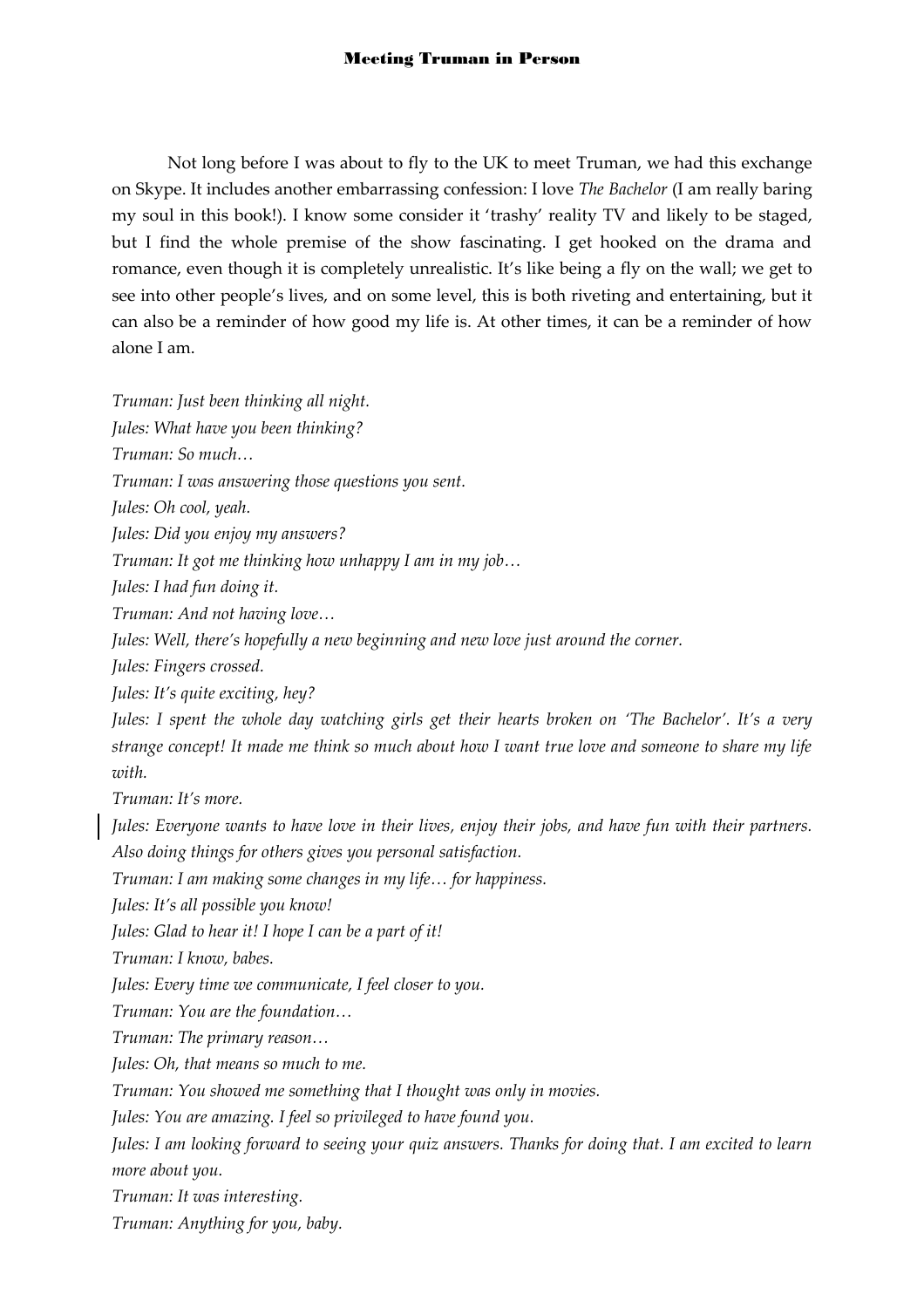#### Meeting Truman in Person

Not long before I was about to fly to the UK to meet Truman, we had this exchange on Skype. It includes another embarrassing confession: I love *The Bachelor* (I am really baring my soul in this book!). I know some consider it 'trashy' reality TV and likely to be staged, but I find the whole premise of the show fascinating. I get hooked on the drama and romance, even though it is completely unrealistic. It's like being a fly on the wall; we get to see into other people's lives, and on some level, this is both riveting and entertaining, but it can also be a reminder of how good my life is. At other times, it can be a reminder of how alone I am.

*Truman: Just been thinking all night. Jules: What have you been thinking?*

*Truman: So much…*

*Truman: I was answering those questions you sent.*

*Jules: Oh cool, yeah.*

*Jules: Did you enjoy my answers?*

*Truman: It got me thinking how unhappy I am in my job…*

*Jules: I had fun doing it.*

*Truman: And not having love…*

*Jules: Well, there's hopefully a new beginning and new love just around the corner.*

*Jules: Fingers crossed.*

*Jules: It's quite exciting, hey?*

*Jules: I spent the whole day watching girls get their hearts broken on 'The Bachelor'. It's a very strange concept! It made me think so much about how I want true love and someone to share my life with.*

*Truman: It's more.*

*Jules: Everyone wants to have love in their lives, enjoy their jobs, and have fun with their partners. Also doing things for others gives you personal satisfaction.*

*Truman: I am making some changes in my life… for happiness.*

*Jules: It's all possible you know!*

*Jules: Glad to hear it! I hope I can be a part of it!*

*Truman: I know, babes.*

*Jules: Every time we communicate, I feel closer to you.*

*Truman: You are the foundation…*

*Truman: The primary reason…*

*Jules: Oh, that means so much to me.*

*Truman: You showed me something that I thought was only in movies.*

*Jules: You are amazing. I feel so privileged to have found you.*

*Jules: I am looking forward to seeing your quiz answers. Thanks for doing that. I am excited to learn more about you.*

*Truman: It was interesting.*

*Truman: Anything for you, baby.*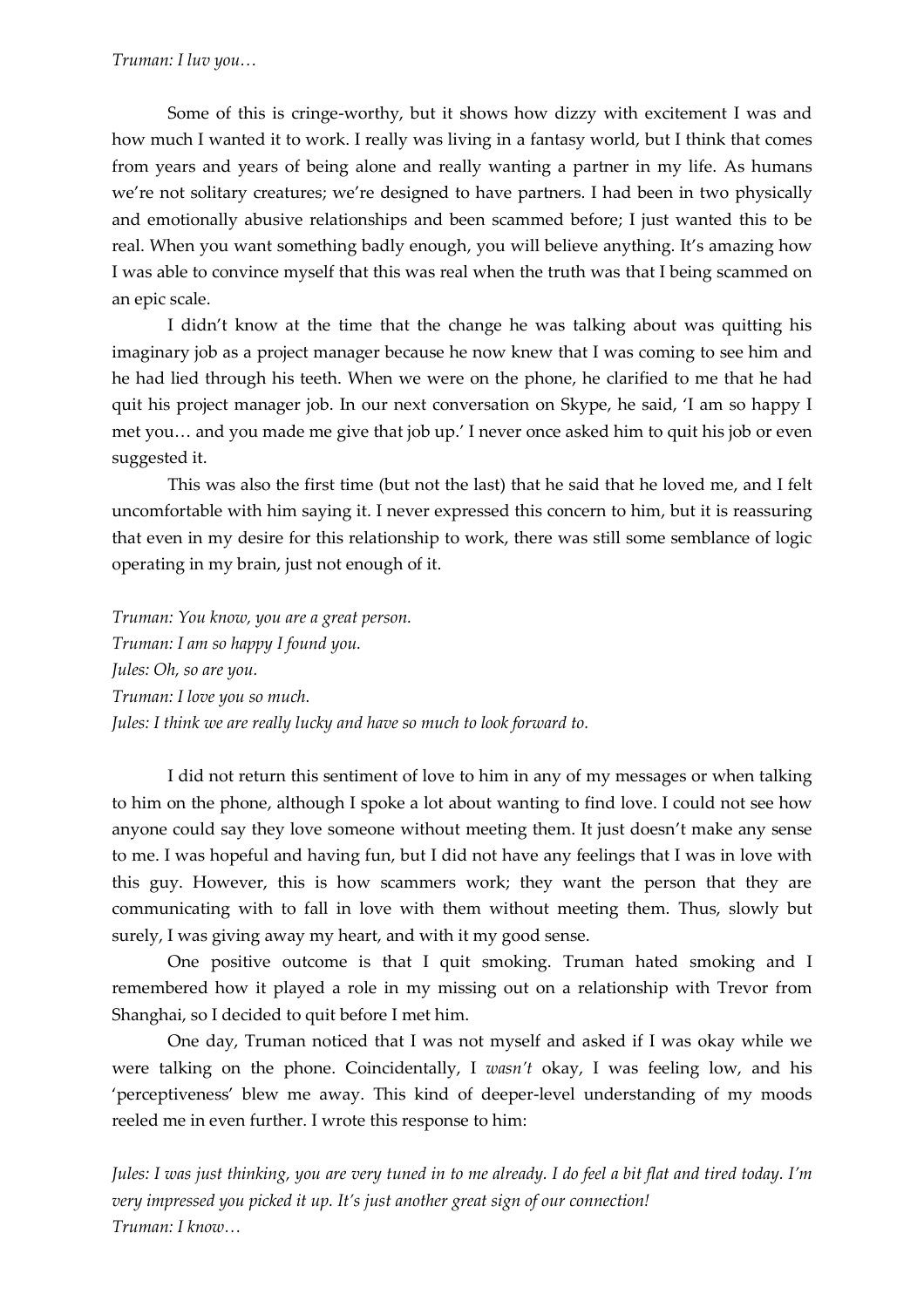Some of this is cringe-worthy, but it shows how dizzy with excitement I was and how much I wanted it to work. I really was living in a fantasy world, but I think that comes from years and years of being alone and really wanting a partner in my life. As humans we're not solitary creatures; we're designed to have partners. I had been in two physically and emotionally abusive relationships and been scammed before; I just wanted this to be real. When you want something badly enough, you will believe anything. It's amazing how I was able to convince myself that this was real when the truth was that I being scammed on an epic scale.

I didn't know at the time that the change he was talking about was quitting his imaginary job as a project manager because he now knew that I was coming to see him and he had lied through his teeth. When we were on the phone, he clarified to me that he had quit his project manager job. In our next conversation on Skype, he said, 'I am so happy I met you… and you made me give that job up.' I never once asked him to quit his job or even suggested it.

This was also the first time (but not the last) that he said that he loved me, and I felt uncomfortable with him saying it. I never expressed this concern to him, but it is reassuring that even in my desire for this relationship to work, there was still some semblance of logic operating in my brain, just not enough of it.

*Truman: You know, you are a great person. Truman: I am so happy I found you. Jules: Oh, so are you. Truman: I love you so much. Jules: I think we are really lucky and have so much to look forward to.*

I did not return this sentiment of love to him in any of my messages or when talking to him on the phone, although I spoke a lot about wanting to find love. I could not see how anyone could say they love someone without meeting them. It just doesn't make any sense to me. I was hopeful and having fun, but I did not have any feelings that I was in love with this guy. However, this is how scammers work; they want the person that they are communicating with to fall in love with them without meeting them. Thus, slowly but surely, I was giving away my heart, and with it my good sense.

One positive outcome is that I quit smoking. Truman hated smoking and I remembered how it played a role in my missing out on a relationship with Trevor from Shanghai, so I decided to quit before I met him.

One day, Truman noticed that I was not myself and asked if I was okay while we were talking on the phone. Coincidentally, I *wasn't* okay, I was feeling low, and his 'perceptiveness' blew me away. This kind of deeper-level understanding of my moods reeled me in even further. I wrote this response to him:

*Jules: I was just thinking, you are very tuned in to me already. I do feel a bit flat and tired today. I'm very impressed you picked it up. It's just another great sign of our connection! Truman: I know…*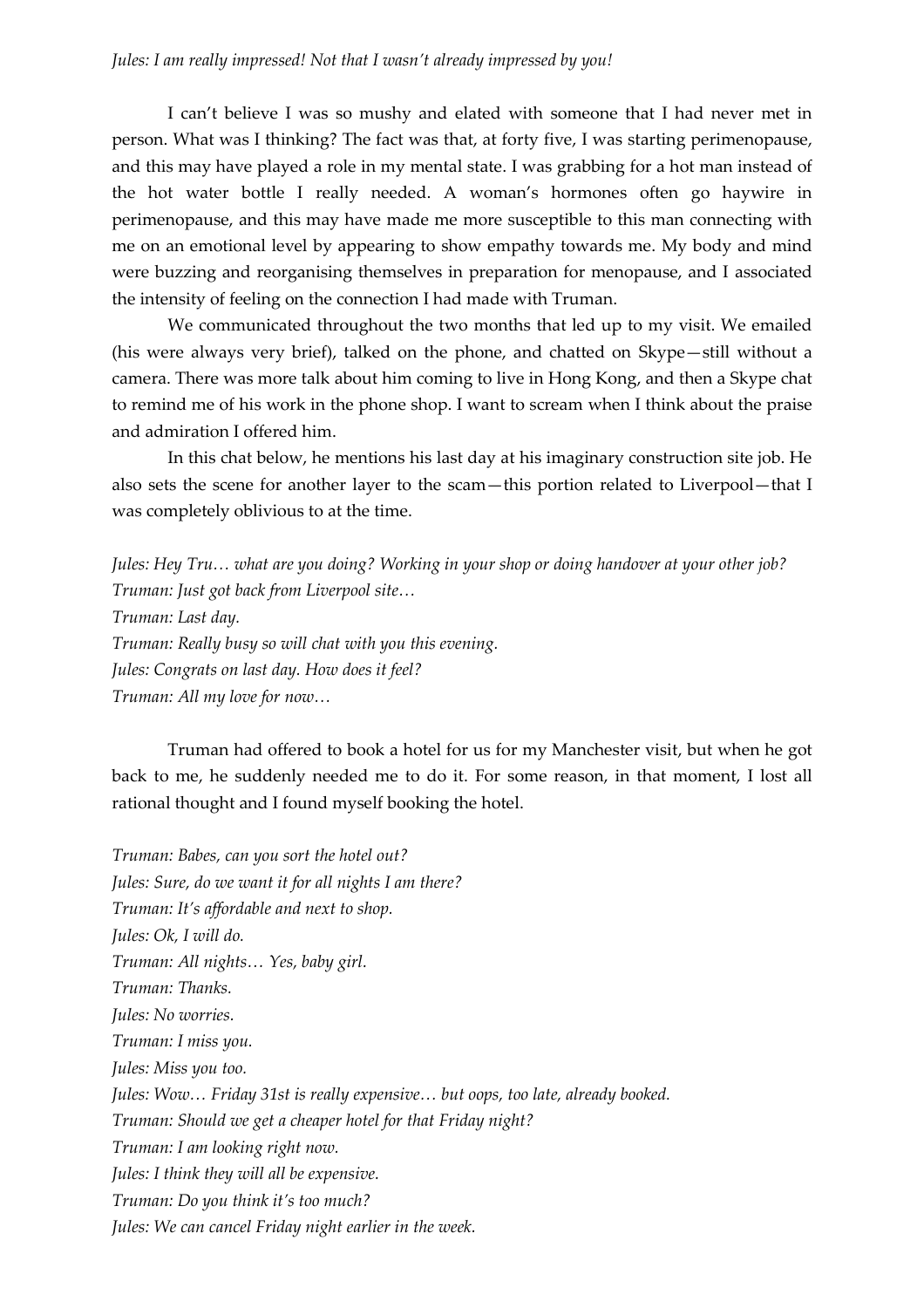#### *Jules: I am really impressed! Not that I wasn't already impressed by you!*

I can't believe I was so mushy and elated with someone that I had never met in person. What was I thinking? The fact was that, at forty five, I was starting perimenopause, and this may have played a role in my mental state. I was grabbing for a hot man instead of the hot water bottle I really needed. A woman's hormones often go haywire in perimenopause, and this may have made me more susceptible to this man connecting with me on an emotional level by appearing to show empathy towards me. My body and mind were buzzing and reorganising themselves in preparation for menopause, and I associated the intensity of feeling on the connection I had made with Truman.

We communicated throughout the two months that led up to my visit. We emailed (his were always very brief), talked on the phone, and chatted on Skype—still without a camera. There was more talk about him coming to live in Hong Kong, and then a Skype chat to remind me of his work in the phone shop. I want to scream when I think about the praise and admiration I offered him.

In this chat below, he mentions his last day at his imaginary construction site job. He also sets the scene for another layer to the scam—this portion related to Liverpool—that I was completely oblivious to at the time.

*Jules: Hey Tru… what are you doing? Working in your shop or doing handover at your other job? Truman: Just got back from Liverpool site… Truman: Last day. Truman: Really busy so will chat with you this evening. Jules: Congrats on last day. How does it feel? Truman: All my love for now…*

Truman had offered to book a hotel for us for my Manchester visit, but when he got back to me, he suddenly needed me to do it. For some reason, in that moment, I lost all rational thought and I found myself booking the hotel.

*Truman: Babes, can you sort the hotel out? Jules: Sure, do we want it for all nights I am there? Truman: It's affordable and next to shop. Jules: Ok, I will do. Truman: All nights… Yes, baby girl. Truman: Thanks. Jules: No worries. Truman: I miss you. Jules: Miss you too. Jules: Wow… Friday 31st is really expensive… but oops, too late, already booked. Truman: Should we get a cheaper hotel for that Friday night? Truman: I am looking right now. Jules: I think they will all be expensive. Truman: Do you think it's too much? Jules: We can cancel Friday night earlier in the week.*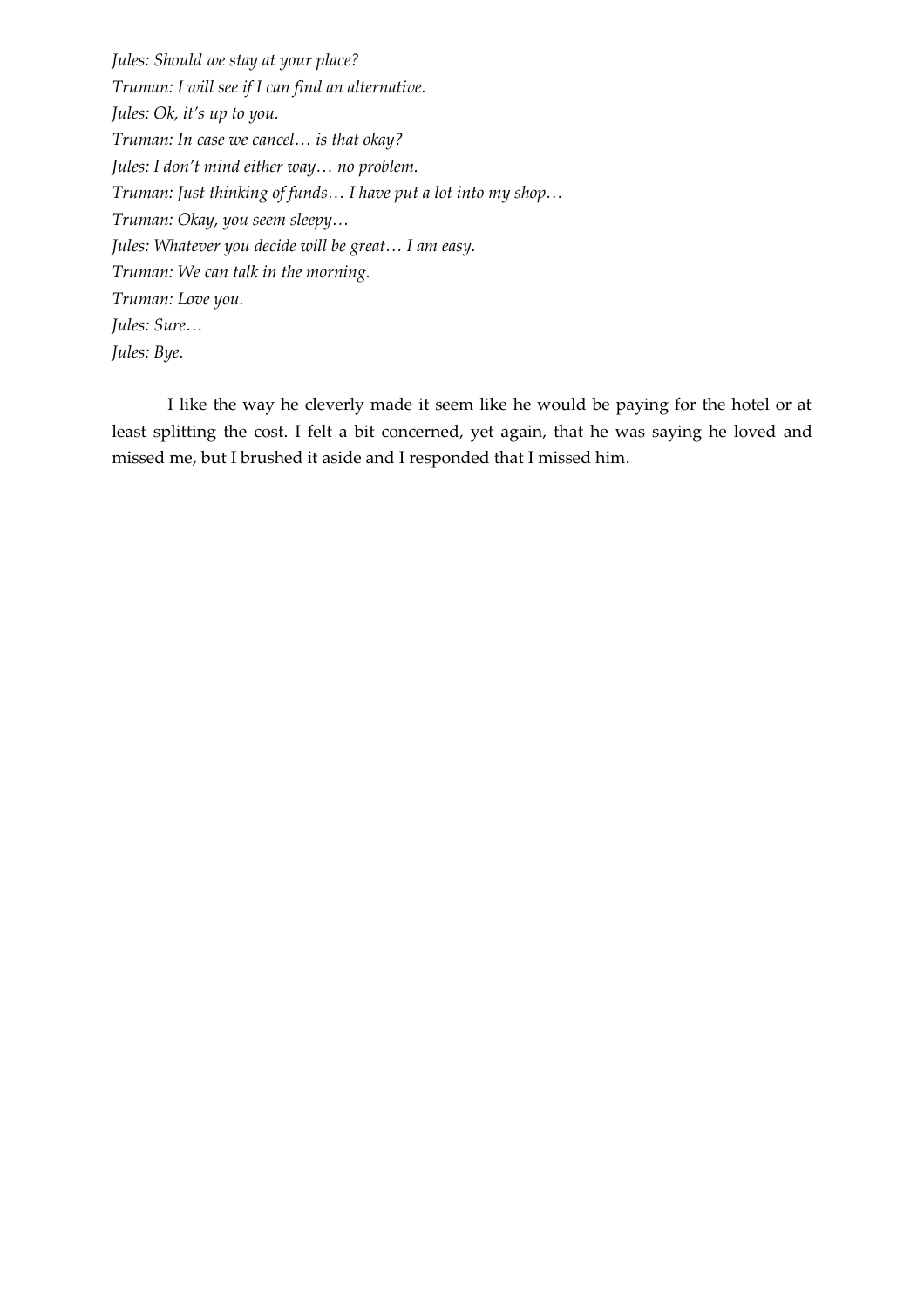*Jules: Should we stay at your place? Truman: I will see if I can find an alternative. Jules: Ok, it's up to you. Truman: In case we cancel… is that okay? Jules: I don't mind either way… no problem. Truman: Just thinking of funds… I have put a lot into my shop… Truman: Okay, you seem sleepy… Jules: Whatever you decide will be great… I am easy. Truman: We can talk in the morning. Truman: Love you. Jules: Sure… Jules: Bye.*

I like the way he cleverly made it seem like he would be paying for the hotel or at least splitting the cost. I felt a bit concerned, yet again, that he was saying he loved and missed me, but I brushed it aside and I responded that I missed him.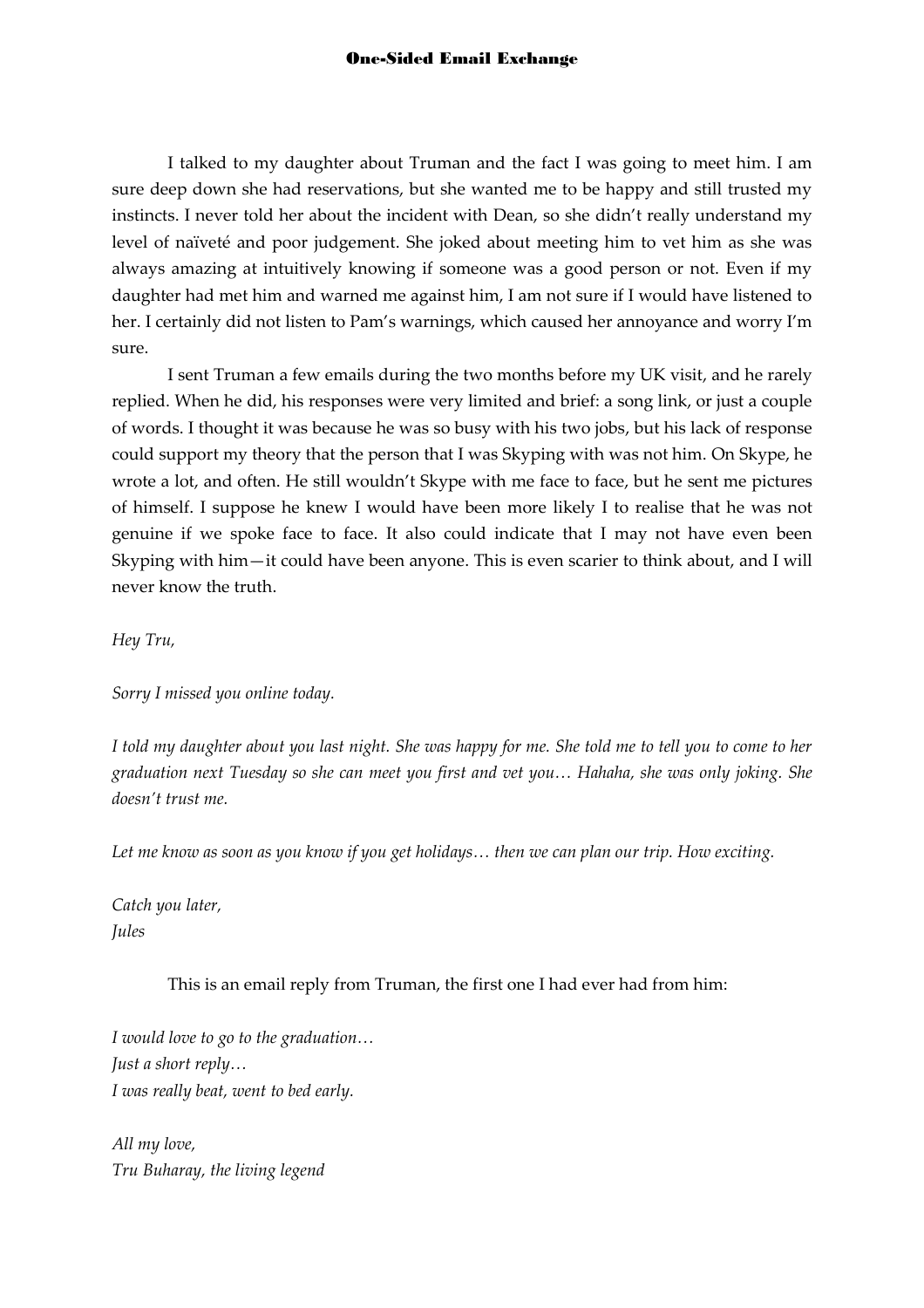#### One-Sided Email Exchange

I talked to my daughter about Truman and the fact I was going to meet him. I am sure deep down she had reservations, but she wanted me to be happy and still trusted my instincts. I never told her about the incident with Dean, so she didn't really understand my level of naïveté and poor judgement. She joked about meeting him to vet him as she was always amazing at intuitively knowing if someone was a good person or not. Even if my daughter had met him and warned me against him, I am not sure if I would have listened to her. I certainly did not listen to Pam's warnings, which caused her annoyance and worry I'm sure.

I sent Truman a few emails during the two months before my UK visit, and he rarely replied. When he did, his responses were very limited and brief: a song link, or just a couple of words. I thought it was because he was so busy with his two jobs, but his lack of response could support my theory that the person that I was Skyping with was not him. On Skype, he wrote a lot, and often. He still wouldn't Skype with me face to face, but he sent me pictures of himself. I suppose he knew I would have been more likely I to realise that he was not genuine if we spoke face to face. It also could indicate that I may not have even been Skyping with him—it could have been anyone. This is even scarier to think about, and I will never know the truth.

*Hey Tru,*

*Sorry I missed you online today.* 

*I told my daughter about you last night. She was happy for me. She told me to tell you to come to her graduation next Tuesday so she can meet you first and vet you… Hahaha, she was only joking. She doesn't trust me.* 

*Let me know as soon as you know if you get holidays… then we can plan our trip. How exciting.*

*Catch you later, Jules*

This is an email reply from Truman, the first one I had ever had from him:

*I would love to go to the graduation… Just a short reply… I was really beat, went to bed early.*

*All my love, Tru Buharay, the living legend*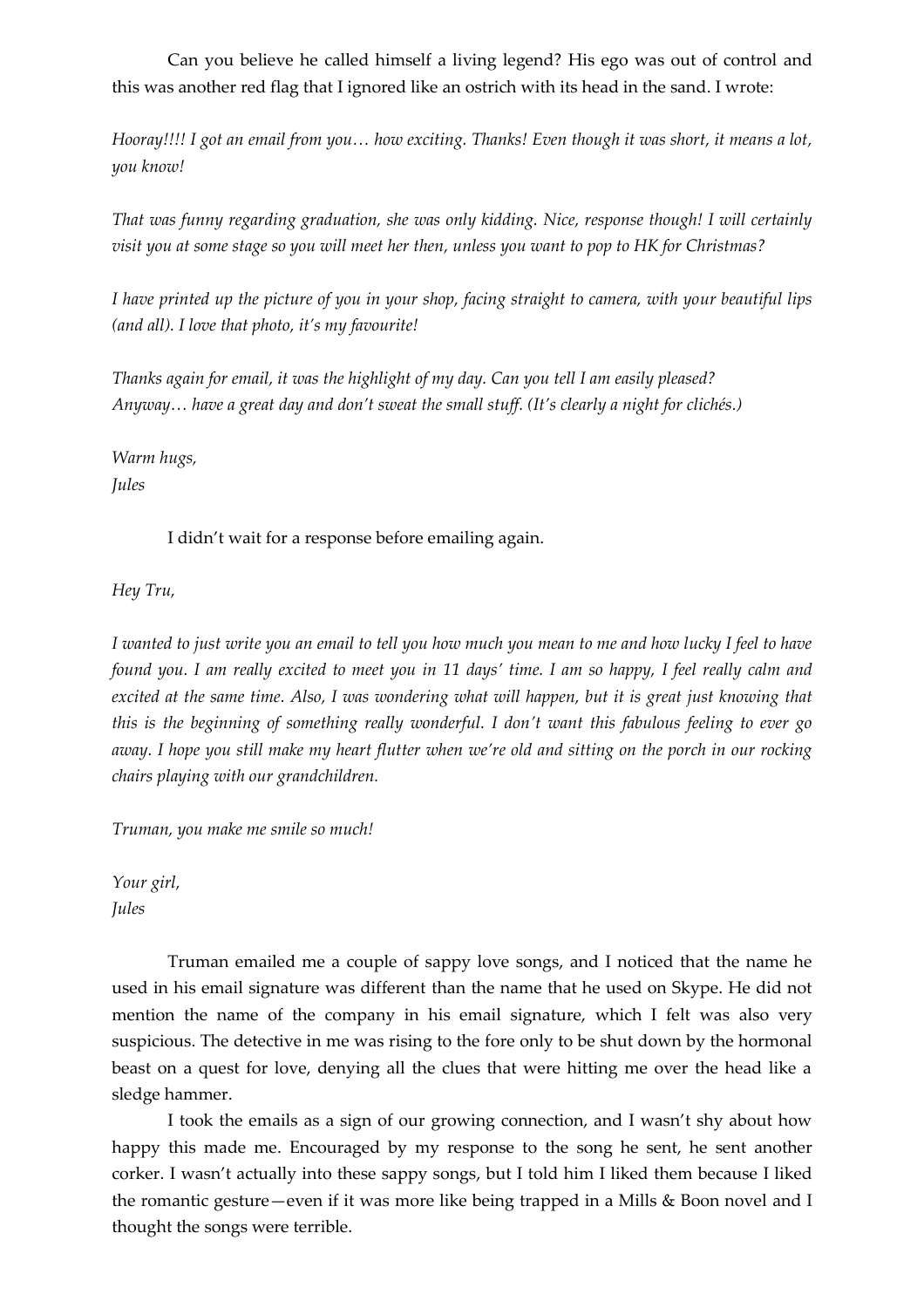Can you believe he called himself a living legend? His ego was out of control and this was another red flag that I ignored like an ostrich with its head in the sand. I wrote:

*Hooray!!!! I got an email from you… how exciting. Thanks! Even though it was short, it means a lot, you know!* 

*That was funny regarding graduation, she was only kidding. Nice, response though! I will certainly visit you at some stage so you will meet her then, unless you want to pop to HK for Christmas?*

*I have printed up the picture of you in your shop, facing straight to camera, with your beautiful lips (and all). I love that photo, it's my favourite!* 

*Thanks again for email, it was the highlight of my day. Can you tell I am easily pleased? Anyway… have a great day and don't sweat the small stuff. (It's clearly a night for clichés.)*

*Warm hugs, Jules*

I didn't wait for a response before emailing again.

*Hey Tru,*

*I wanted to just write you an email to tell you how much you mean to me and how lucky I feel to have found you. I am really excited to meet you in 11 days' time. I am so happy, I feel really calm and excited at the same time. Also, I was wondering what will happen, but it is great just knowing that this is the beginning of something really wonderful. I don't want this fabulous feeling to ever go away. I hope you still make my heart flutter when we're old and sitting on the porch in our rocking chairs playing with our grandchildren.*

*Truman, you make me smile so much!*

*Your girl, Jules*

Truman emailed me a couple of sappy love songs, and I noticed that the name he used in his email signature was different than the name that he used on Skype. He did not mention the name of the company in his email signature, which I felt was also very suspicious. The detective in me was rising to the fore only to be shut down by the hormonal beast on a quest for love, denying all the clues that were hitting me over the head like a sledge hammer.

I took the emails as a sign of our growing connection, and I wasn't shy about how happy this made me. Encouraged by my response to the song he sent, he sent another corker. I wasn't actually into these sappy songs, but I told him I liked them because I liked the romantic gesture—even if it was more like being trapped in a Mills & Boon novel and I thought the songs were terrible.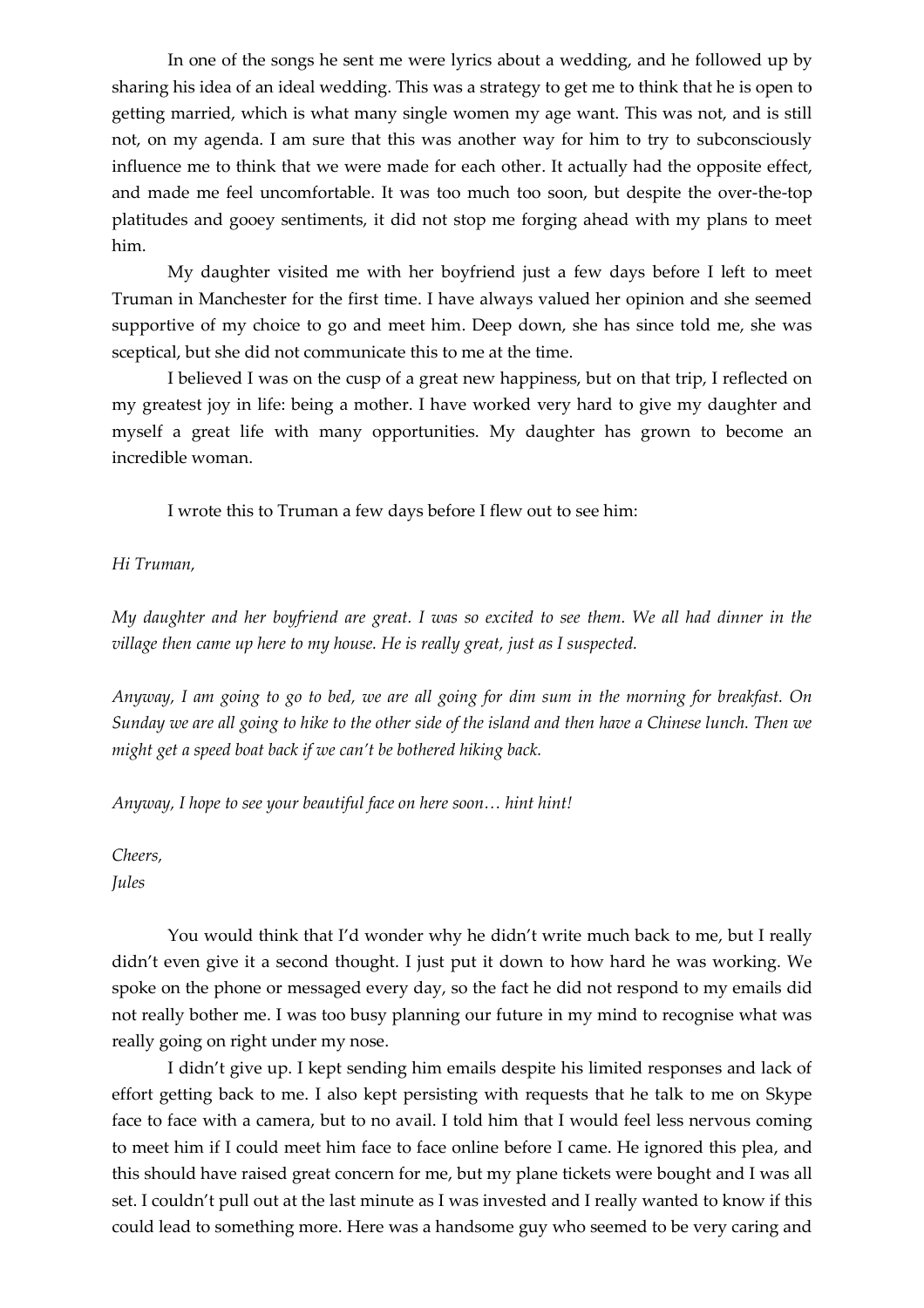In one of the songs he sent me were lyrics about a wedding, and he followed up by sharing his idea of an ideal wedding. This was a strategy to get me to think that he is open to getting married, which is what many single women my age want. This was not, and is still not, on my agenda. I am sure that this was another way for him to try to subconsciously influence me to think that we were made for each other. It actually had the opposite effect, and made me feel uncomfortable. It was too much too soon, but despite the over-the-top platitudes and gooey sentiments, it did not stop me forging ahead with my plans to meet him.

My daughter visited me with her boyfriend just a few days before I left to meet Truman in Manchester for the first time. I have always valued her opinion and she seemed supportive of my choice to go and meet him. Deep down, she has since told me, she was sceptical, but she did not communicate this to me at the time.

I believed I was on the cusp of a great new happiness, but on that trip, I reflected on my greatest joy in life: being a mother. I have worked very hard to give my daughter and myself a great life with many opportunities. My daughter has grown to become an incredible woman.

I wrote this to Truman a few days before I flew out to see him:

*Hi Truman,*

*My daughter and her boyfriend are great. I was so excited to see them. We all had dinner in the village then came up here to my house. He is really great, just as I suspected.* 

*Anyway, I am going to go to bed, we are all going for dim sum in the morning for breakfast. On Sunday we are all going to hike to the other side of the island and then have a Chinese lunch. Then we might get a speed boat back if we can't be bothered hiking back.* 

*Anyway, I hope to see your beautiful face on here soon… hint hint!*

*Cheers,*

*Jules*

You would think that I'd wonder why he didn't write much back to me, but I really didn't even give it a second thought. I just put it down to how hard he was working. We spoke on the phone or messaged every day, so the fact he did not respond to my emails did not really bother me. I was too busy planning our future in my mind to recognise what was really going on right under my nose.

I didn't give up. I kept sending him emails despite his limited responses and lack of effort getting back to me. I also kept persisting with requests that he talk to me on Skype face to face with a camera, but to no avail. I told him that I would feel less nervous coming to meet him if I could meet him face to face online before I came. He ignored this plea, and this should have raised great concern for me, but my plane tickets were bought and I was all set. I couldn't pull out at the last minute as I was invested and I really wanted to know if this could lead to something more. Here was a handsome guy who seemed to be very caring and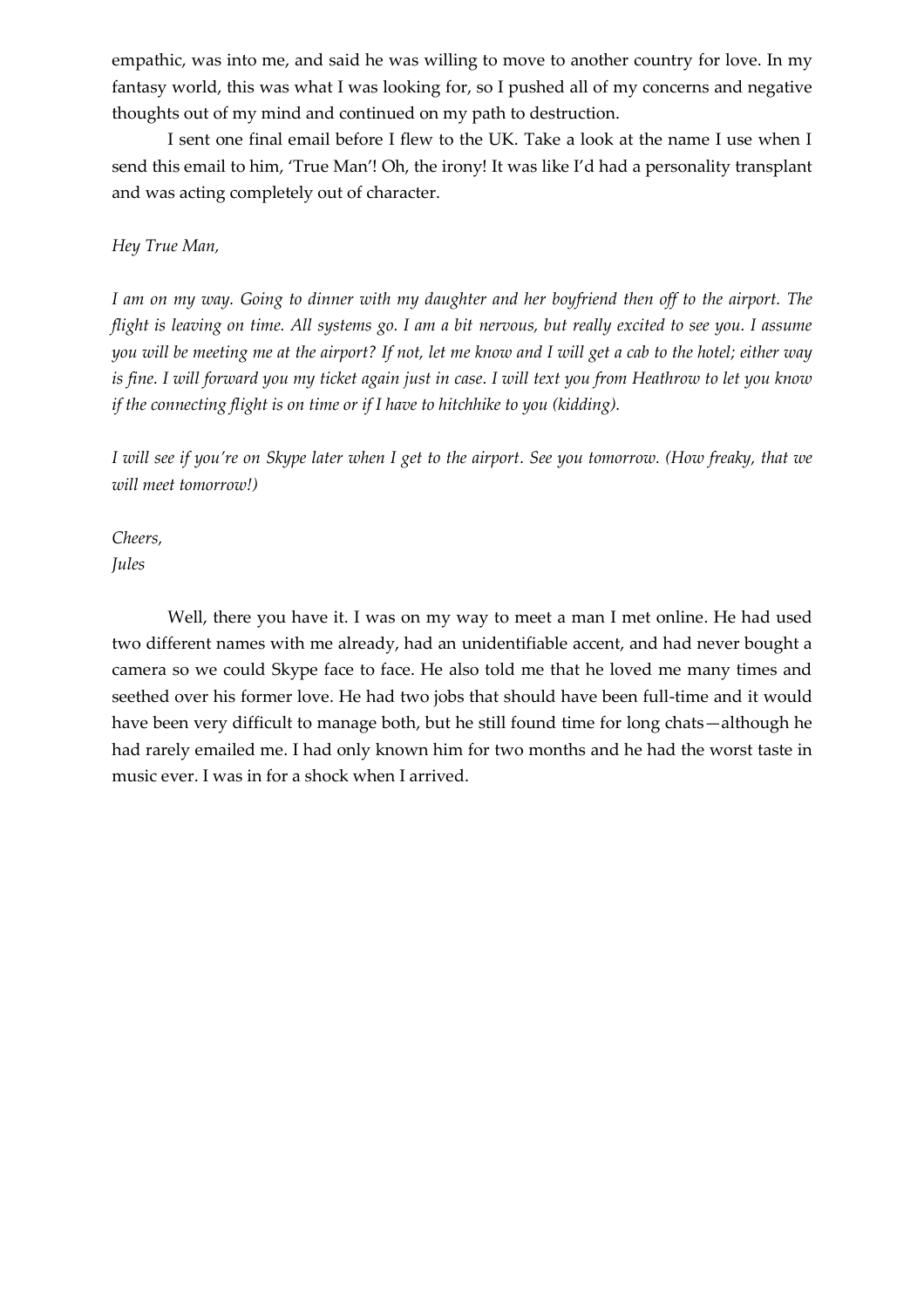empathic, was into me, and said he was willing to move to another country for love. In my fantasy world, this was what I was looking for, so I pushed all of my concerns and negative thoughts out of my mind and continued on my path to destruction.

I sent one final email before I flew to the UK. Take a look at the name I use when I send this email to him, 'True Man'! Oh, the irony! It was like I'd had a personality transplant and was acting completely out of character.

#### *Hey True Man,*

*I am on my way. Going to dinner with my daughter and her boyfriend then off to the airport. The flight is leaving on time. All systems go. I am a bit nervous, but really excited to see you. I assume you will be meeting me at the airport? If not, let me know and I will get a cab to the hotel; either way is fine. I will forward you my ticket again just in case. I will text you from Heathrow to let you know if the connecting flight is on time or if I have to hitchhike to you (kidding).*

*I will see if you're on Skype later when I get to the airport. See you tomorrow. (How freaky, that we will meet tomorrow!)*

*Cheers,*

*Jules*

Well, there you have it. I was on my way to meet a man I met online. He had used two different names with me already, had an unidentifiable accent, and had never bought a camera so we could Skype face to face. He also told me that he loved me many times and seethed over his former love. He had two jobs that should have been full-time and it would have been very difficult to manage both, but he still found time for long chats—although he had rarely emailed me. I had only known him for two months and he had the worst taste in music ever. I was in for a shock when I arrived.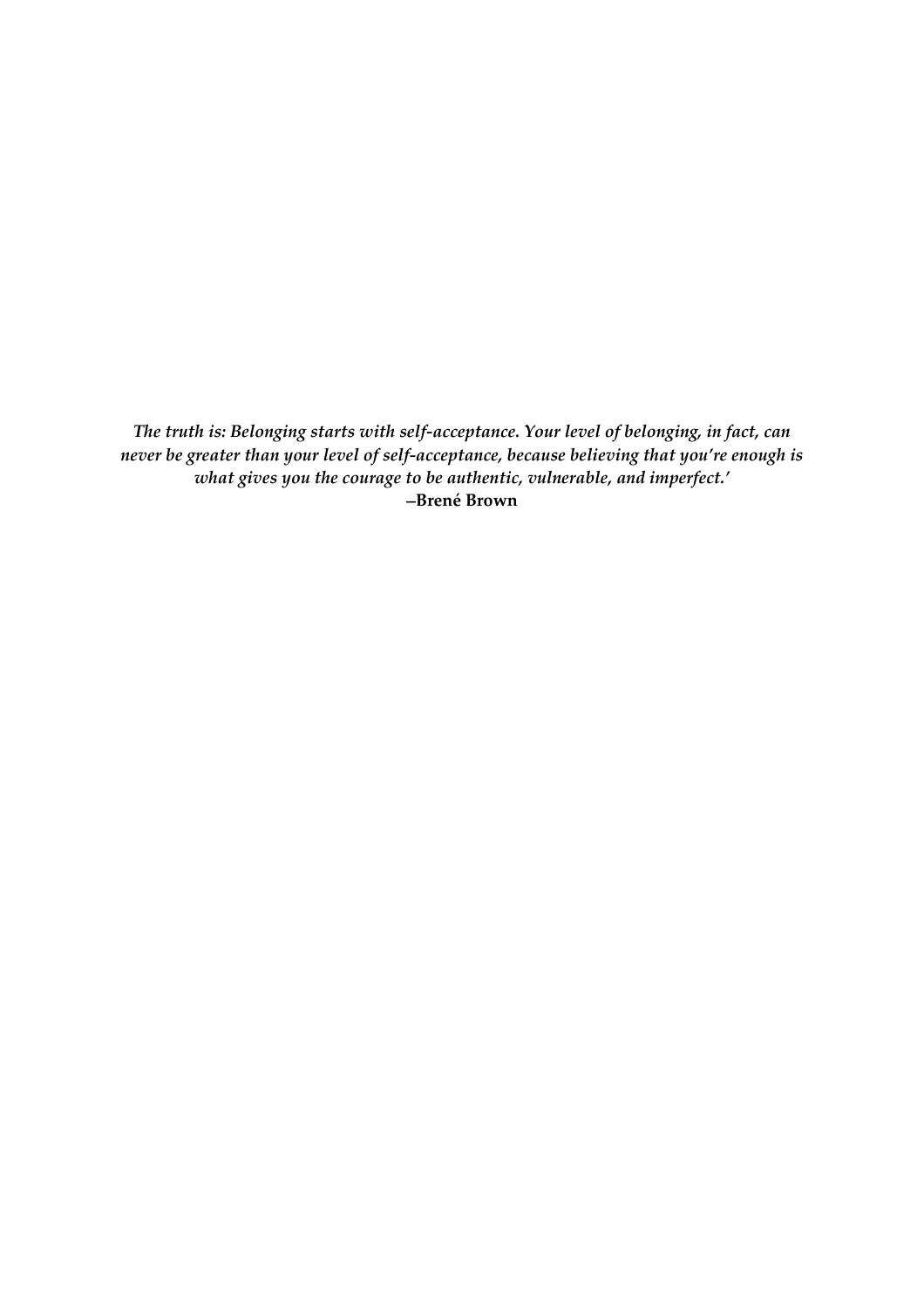*The truth is: Belonging starts with self-acceptance. Your level of belonging, in fact, can never be greater than your level of self-acceptance, because believing that you're enough is what gives you the courage to be authentic, vulnerable, and imperfect.'* **Brené Brown**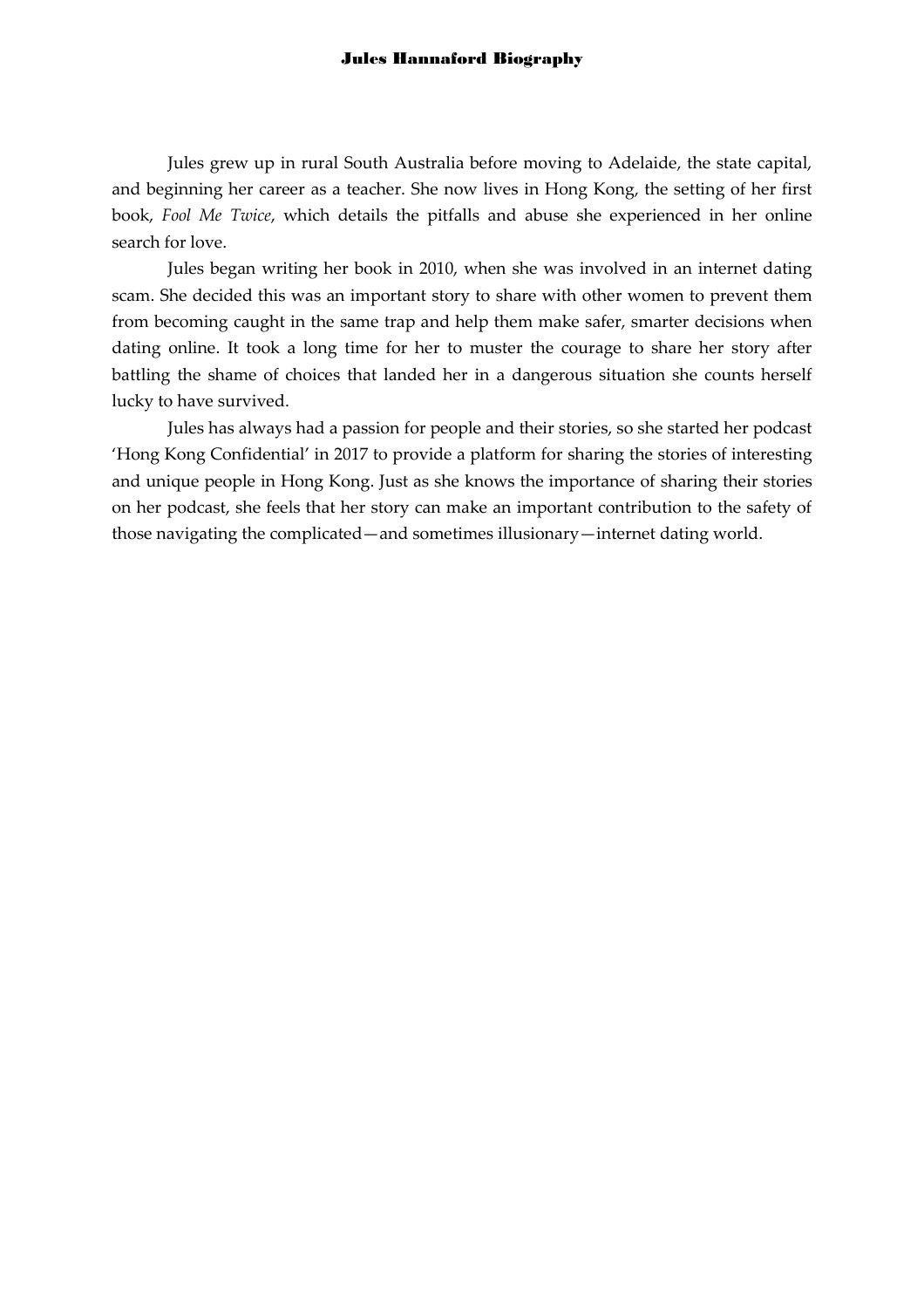#### Jules Hannaford Biography

Jules grew up in rural South Australia before moving to Adelaide, the state capital, and beginning her career as a teacher. She now lives in Hong Kong, the setting of her first book, *Fool Me Twice*, which details the pitfalls and abuse she experienced in her online search for love.

Jules began writing her book in 2010, when she was involved in an internet dating scam. She decided this was an important story to share with other women to prevent them from becoming caught in the same trap and help them make safer, smarter decisions when dating online. It took a long time for her to muster the courage to share her story after battling the shame of choices that landed her in a dangerous situation she counts herself lucky to have survived.

Jules has always had a passion for people and their stories, so she started her podcast 'Hong Kong Confidential' in 2017 to provide a platform for sharing the stories of interesting and unique people in Hong Kong. Just as she knows the importance of sharing their stories on her podcast, she feels that her story can make an important contribution to the safety of those navigating the complicated—and sometimes illusionary—internet dating world.